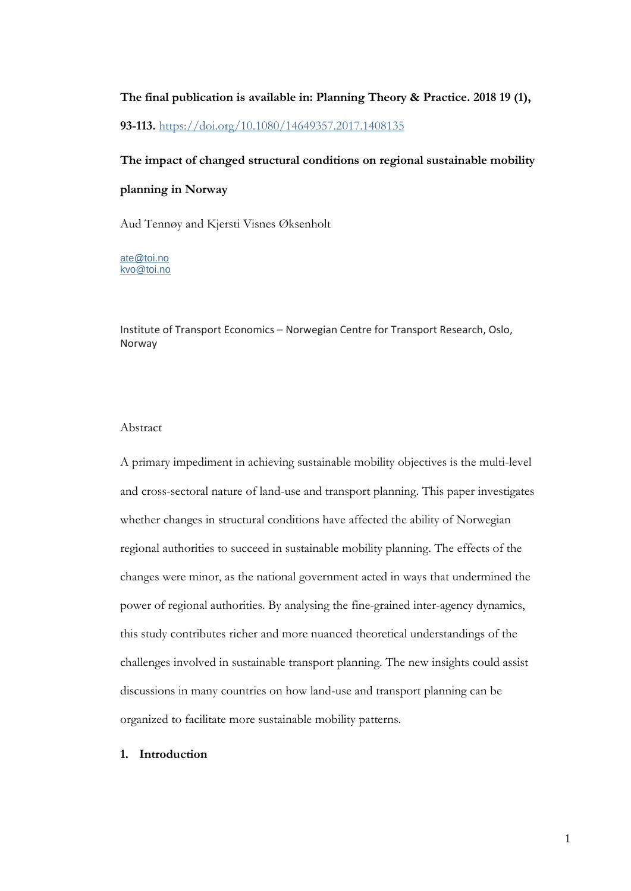# **The final publication is available in: Planning Theory & Practice. 2018 19 (1), 93-113.** <https://doi.org/10.1080/14649357.2017.1408135>

# **The impact of changed structural conditions on regional sustainable mobility**

### **planning in Norway**

Aud Tennøy and Kjersti Visnes Øksenholt

[ate@toi.no](mailto:ate%20@toi.no) [kvo@toi.no](mailto:Kjersti.VisnesOksenholt@toi.no)

Institute of Transport Economics – Norwegian Centre for Transport Research, Oslo, Norway

### Abstract

A primary impediment in achieving sustainable mobility objectives is the multi-level and cross-sectoral nature of land-use and transport planning. This paper investigates whether changes in structural conditions have affected the ability of Norwegian regional authorities to succeed in sustainable mobility planning. The effects of the changes were minor, as the national government acted in ways that undermined the power of regional authorities. By analysing the fine-grained inter-agency dynamics, this study contributes richer and more nuanced theoretical understandings of the challenges involved in sustainable transport planning. The new insights could assist discussions in many countries on how land-use and transport planning can be organized to facilitate more sustainable mobility patterns.

## **1. Introduction**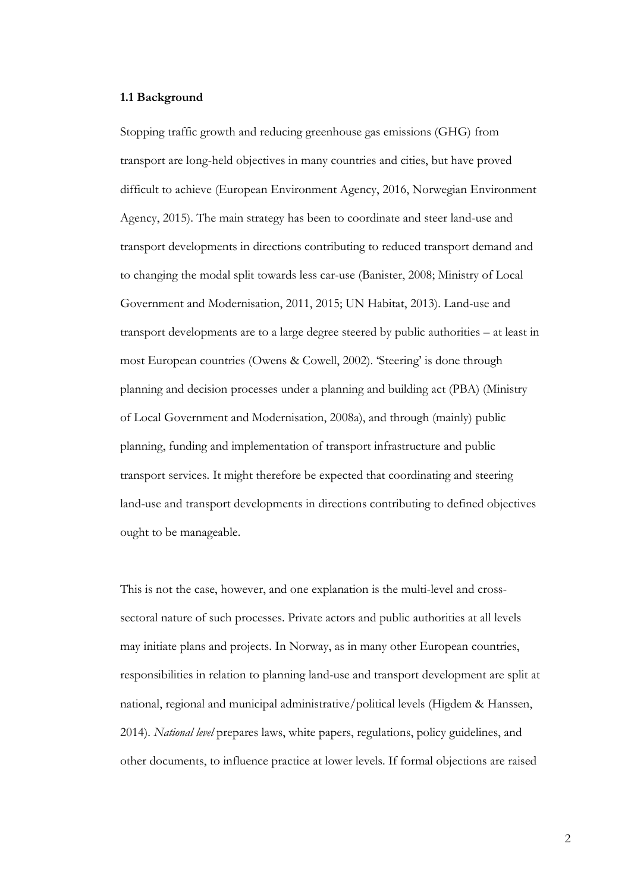### **1.1 Background**

Stopping traffic growth and reducing greenhouse gas emissions (GHG) from transport are long-held objectives in many countries and cities, but have proved difficult to achieve (European Environment Agency, 2016, Norwegian Environment Agency, 2015). The main strategy has been to coordinate and steer land-use and transport developments in directions contributing to reduced transport demand and to changing the modal split towards less car-use (Banister, 2008; Ministry of Local Government and Modernisation, 2011, 2015; UN Habitat, 2013). Land-use and transport developments are to a large degree steered by public authorities – at least in most European countries (Owens & Cowell, 2002). 'Steering' is done through planning and decision processes under a planning and building act (PBA) (Ministry of Local Government and Modernisation, 2008a), and through (mainly) public planning, funding and implementation of transport infrastructure and public transport services. It might therefore be expected that coordinating and steering land-use and transport developments in directions contributing to defined objectives ought to be manageable.

This is not the case, however, and one explanation is the multi-level and crosssectoral nature of such processes. Private actors and public authorities at all levels may initiate plans and projects. In Norway, as in many other European countries, responsibilities in relation to planning land-use and transport development are split at national, regional and municipal administrative/political levels (Higdem & Hanssen, 2014). *National level* prepares laws, white papers, regulations, policy guidelines, and other documents, to influence practice at lower levels. If formal objections are raised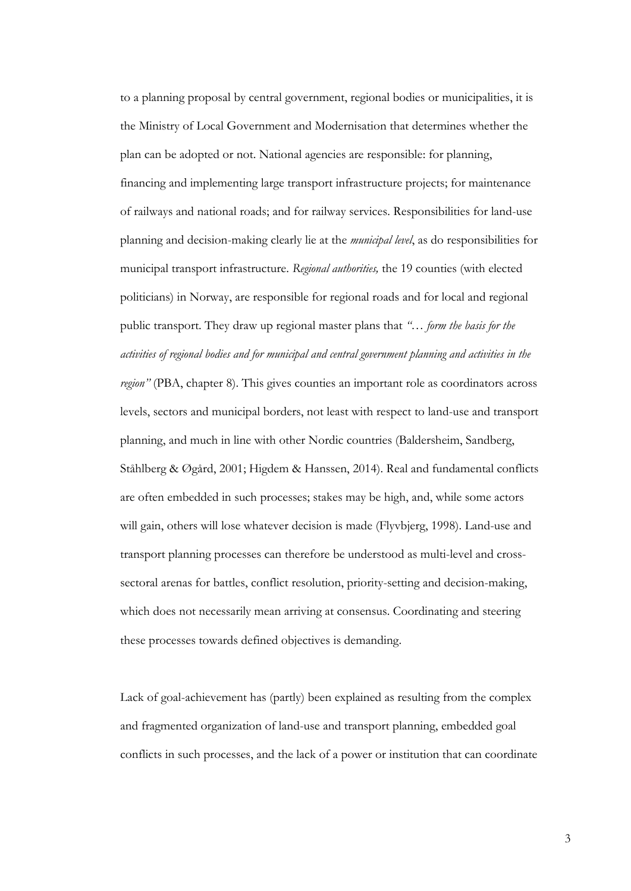to a planning proposal by central government, regional bodies or municipalities, it is the Ministry of Local Government and Modernisation that determines whether the plan can be adopted or not. National agencies are responsible: for planning, financing and implementing large transport infrastructure projects; for maintenance of railways and national roads; and for railway services. Responsibilities for land-use planning and decision-making clearly lie at the *municipal level*, as do responsibilities for municipal transport infrastructure. *Regional authorities,* the 19 counties (with elected politicians) in Norway, are responsible for regional roads and for local and regional public transport. They draw up regional master plans that *"… form the basis for the activities of regional bodies and for municipal and central government planning and activities in the region"* (PBA, chapter 8). This gives counties an important role as coordinators across levels, sectors and municipal borders, not least with respect to land-use and transport planning, and much in line with other Nordic countries (Baldersheim, Sandberg, Ståhlberg & Øgård, 2001; Higdem & Hanssen, 2014). Real and fundamental conflicts are often embedded in such processes; stakes may be high, and, while some actors will gain, others will lose whatever decision is made (Flyvbjerg, 1998). Land-use and transport planning processes can therefore be understood as multi-level and crosssectoral arenas for battles, conflict resolution, priority-setting and decision-making, which does not necessarily mean arriving at consensus. Coordinating and steering these processes towards defined objectives is demanding.

Lack of goal-achievement has (partly) been explained as resulting from the complex and fragmented organization of land-use and transport planning, embedded goal conflicts in such processes, and the lack of a power or institution that can coordinate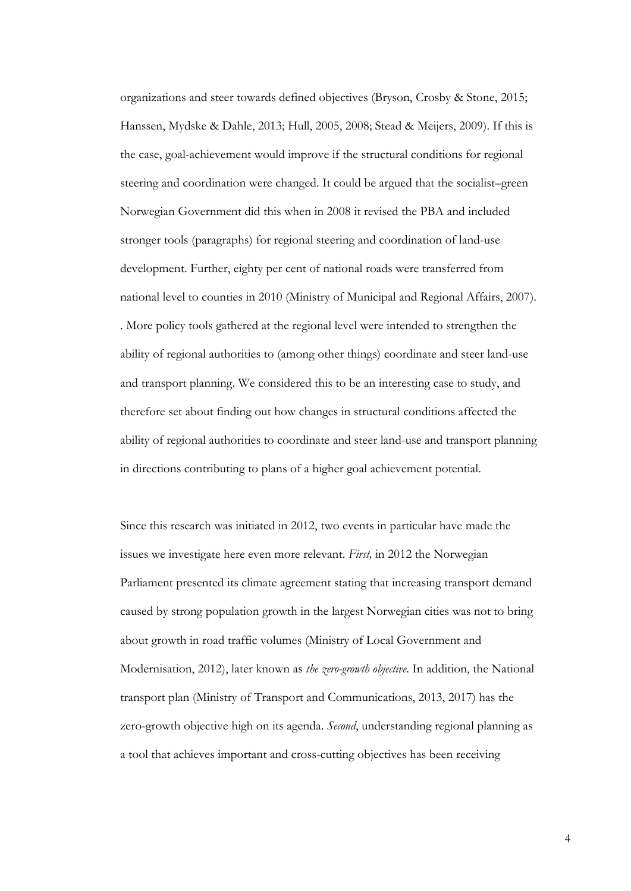organizations and steer towards defined objectives (Bryson, Crosby & Stone, 2015; Hanssen, Mydske & Dahle, 2013; Hull, 2005, 2008; Stead & Meijers, 2009). If this is the case, goal-achievement would improve if the structural conditions for regional steering and coordination were changed. It could be argued that the socialist–green Norwegian Government did this when in 2008 it revised the PBA and included stronger tools (paragraphs) for regional steering and coordination of land-use development. Further, eighty per cent of national roads were transferred from national level to counties in 2010 (Ministry of Municipal and Regional Affairs, 2007). . More policy tools gathered at the regional level were intended to strengthen the ability of regional authorities to (among other things) coordinate and steer land-use and transport planning. We considered this to be an interesting case to study, and therefore set about finding out how changes in structural conditions affected the ability of regional authorities to coordinate and steer land-use and transport planning in directions contributing to plans of a higher goal achievement potential.

Since this research was initiated in 2012, two events in particular have made the issues we investigate here even more relevant. *First,* in 2012 the Norwegian Parliament presented its climate agreement stating that increasing transport demand caused by strong population growth in the largest Norwegian cities was not to bring about growth in road traffic volumes (Ministry of Local Government and Modernisation, 2012), later known as *the zero-growth objective*. In addition, the National transport plan (Ministry of Transport and Communications, 2013, 2017) has the zero-growth objective high on its agenda. *Second*, understanding regional planning as a tool that achieves important and cross-cutting objectives has been receiving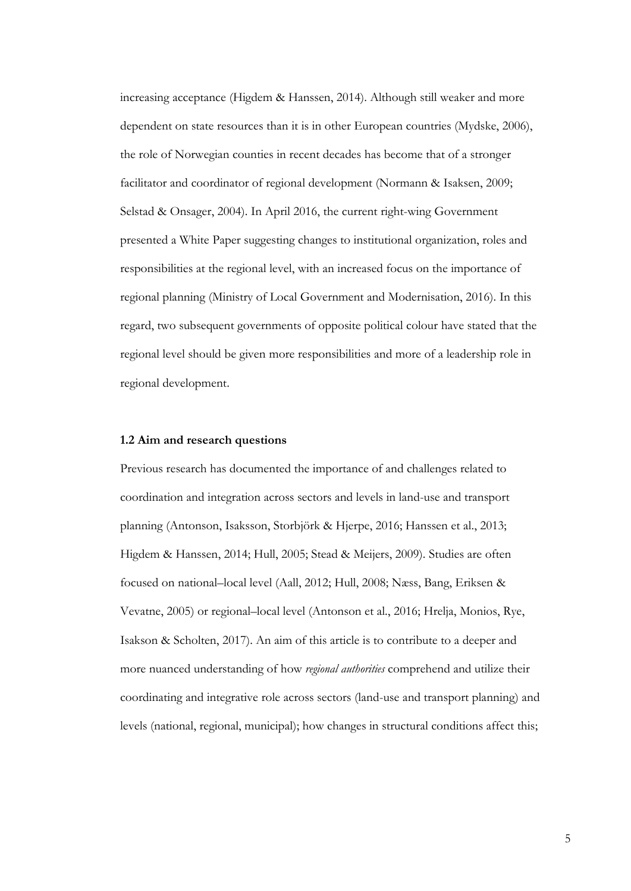increasing acceptance (Higdem & Hanssen, 2014). Although still weaker and more dependent on state resources than it is in other European countries (Mydske, 2006), the role of Norwegian counties in recent decades has become that of a stronger facilitator and coordinator of regional development (Normann & Isaksen, 2009; Selstad & Onsager, 2004). In April 2016, the current right-wing Government presented a White Paper suggesting changes to institutional organization, roles and responsibilities at the regional level, with an increased focus on the importance of regional planning (Ministry of Local Government and Modernisation, 2016). In this regard, two subsequent governments of opposite political colour have stated that the regional level should be given more responsibilities and more of a leadership role in regional development.

### **1.2 Aim and research questions**

Previous research has documented the importance of and challenges related to coordination and integration across sectors and levels in land-use and transport planning (Antonson, Isaksson, Storbjörk & Hjerpe, 2016; Hanssen et al., 2013; Higdem & Hanssen, 2014; Hull, 2005; Stead & Meijers, 2009). Studies are often focused on national–local level (Aall, 2012; Hull, 2008; Næss, Bang, Eriksen & Vevatne, 2005) or regional–local level (Antonson et al., 2016; Hrelja, Monios, Rye, Isakson & Scholten, 2017). An aim of this article is to contribute to a deeper and more nuanced understanding of how *regional authorities* comprehend and utilize their coordinating and integrative role across sectors (land-use and transport planning) and levels (national, regional, municipal); how changes in structural conditions affect this;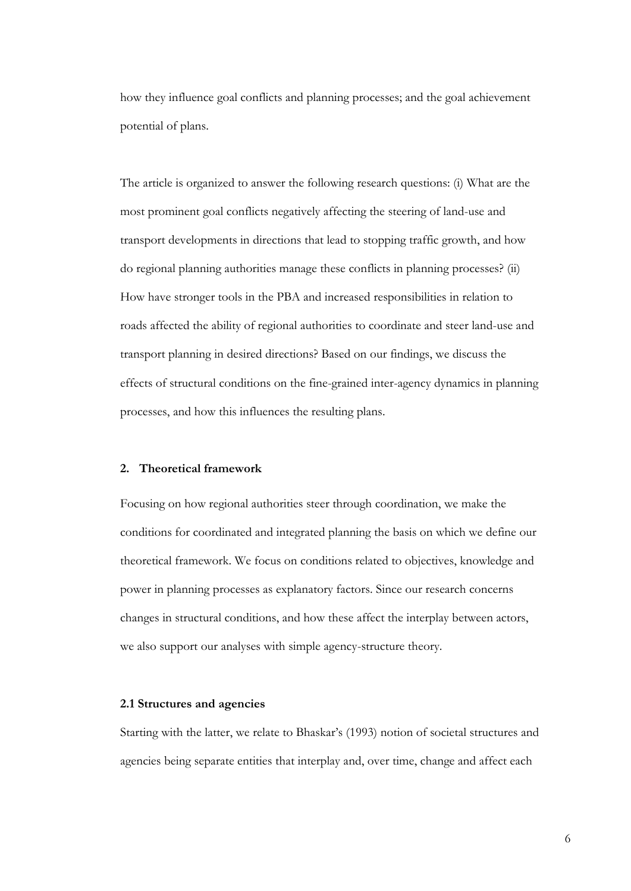how they influence goal conflicts and planning processes; and the goal achievement potential of plans.

The article is organized to answer the following research questions: (i) What are the most prominent goal conflicts negatively affecting the steering of land-use and transport developments in directions that lead to stopping traffic growth, and how do regional planning authorities manage these conflicts in planning processes? (ii) How have stronger tools in the PBA and increased responsibilities in relation to roads affected the ability of regional authorities to coordinate and steer land-use and transport planning in desired directions? Based on our findings, we discuss the effects of structural conditions on the fine-grained inter-agency dynamics in planning processes, and how this influences the resulting plans.

### **2. Theoretical framework**

Focusing on how regional authorities steer through coordination, we make the conditions for coordinated and integrated planning the basis on which we define our theoretical framework. We focus on conditions related to objectives, knowledge and power in planning processes as explanatory factors. Since our research concerns changes in structural conditions, and how these affect the interplay between actors, we also support our analyses with simple agency-structure theory.

### **2.1 Structures and agencies**

Starting with the latter, we relate to Bhaskar's (1993) notion of societal structures and agencies being separate entities that interplay and, over time, change and affect each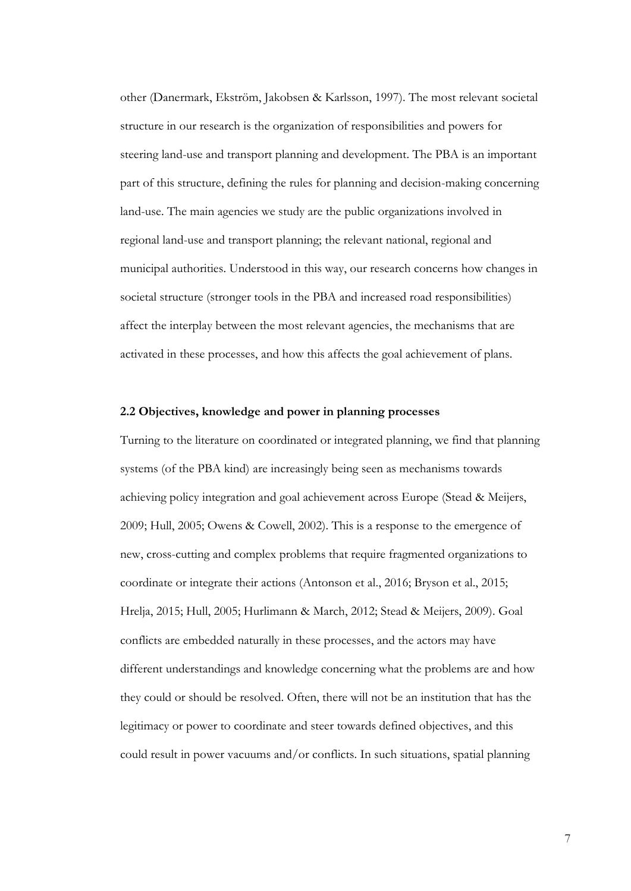other (Danermark, Ekström, Jakobsen & Karlsson, 1997). The most relevant societal structure in our research is the organization of responsibilities and powers for steering land-use and transport planning and development. The PBA is an important part of this structure, defining the rules for planning and decision-making concerning land-use. The main agencies we study are the public organizations involved in regional land-use and transport planning; the relevant national, regional and municipal authorities. Understood in this way, our research concerns how changes in societal structure (stronger tools in the PBA and increased road responsibilities) affect the interplay between the most relevant agencies, the mechanisms that are activated in these processes, and how this affects the goal achievement of plans.

## **2.2 Objectives, knowledge and power in planning processes**

Turning to the literature on coordinated or integrated planning, we find that planning systems (of the PBA kind) are increasingly being seen as mechanisms towards achieving policy integration and goal achievement across Europe (Stead & Meijers, 2009; Hull, 2005; Owens & Cowell, 2002). This is a response to the emergence of new, cross-cutting and complex problems that require fragmented organizations to coordinate or integrate their actions (Antonson et al., 2016; Bryson et al., 2015; Hrelja, 2015; Hull, 2005; Hurlimann & March, 2012; Stead & Meijers, 2009). Goal conflicts are embedded naturally in these processes, and the actors may have different understandings and knowledge concerning what the problems are and how they could or should be resolved. Often, there will not be an institution that has the legitimacy or power to coordinate and steer towards defined objectives, and this could result in power vacuums and/or conflicts. In such situations, spatial planning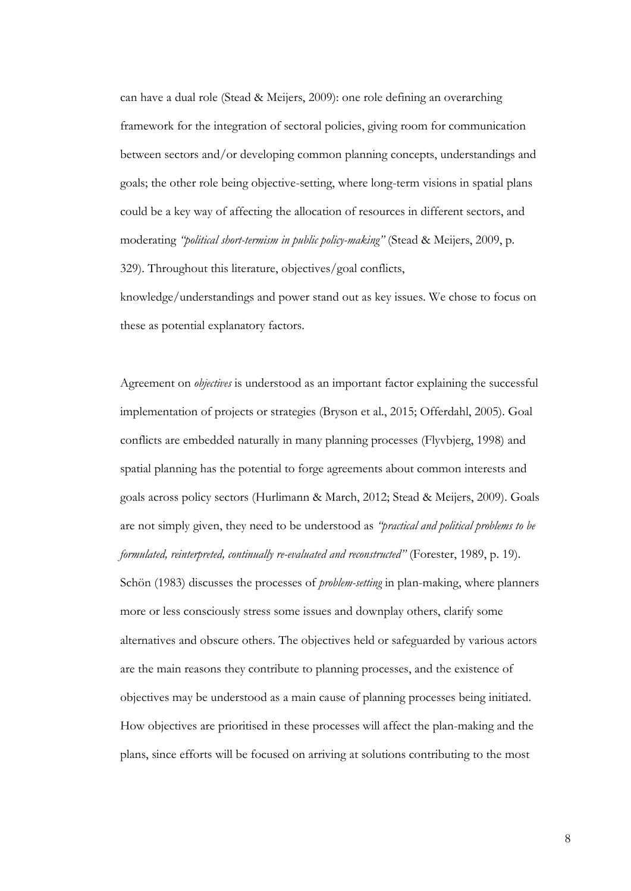can have a dual role (Stead & Meijers, 2009): one role defining an overarching framework for the integration of sectoral policies, giving room for communication between sectors and/or developing common planning concepts, understandings and goals; the other role being objective-setting, where long-term visions in spatial plans could be a key way of affecting the allocation of resources in different sectors, and moderating *"political short-termism in public policy-making"* (Stead & Meijers, 2009, p. 329). Throughout this literature, objectives/goal conflicts,

knowledge/understandings and power stand out as key issues. We chose to focus on these as potential explanatory factors.

Agreement on *objectives* is understood as an important factor explaining the successful implementation of projects or strategies (Bryson et al., 2015; Offerdahl, 2005). Goal conflicts are embedded naturally in many planning processes (Flyvbjerg, 1998) and spatial planning has the potential to forge agreements about common interests and goals across policy sectors (Hurlimann & March, 2012; Stead & Meijers, 2009). Goals are not simply given, they need to be understood as *"practical and political problems to be formulated, reinterpreted, continually re-evaluated and reconstructed"* (Forester, 1989, p. 19). Schön (1983) discusses the processes of *problem-setting* in plan-making, where planners more or less consciously stress some issues and downplay others, clarify some alternatives and obscure others. The objectives held or safeguarded by various actors are the main reasons they contribute to planning processes, and the existence of objectives may be understood as a main cause of planning processes being initiated. How objectives are prioritised in these processes will affect the plan-making and the plans, since efforts will be focused on arriving at solutions contributing to the most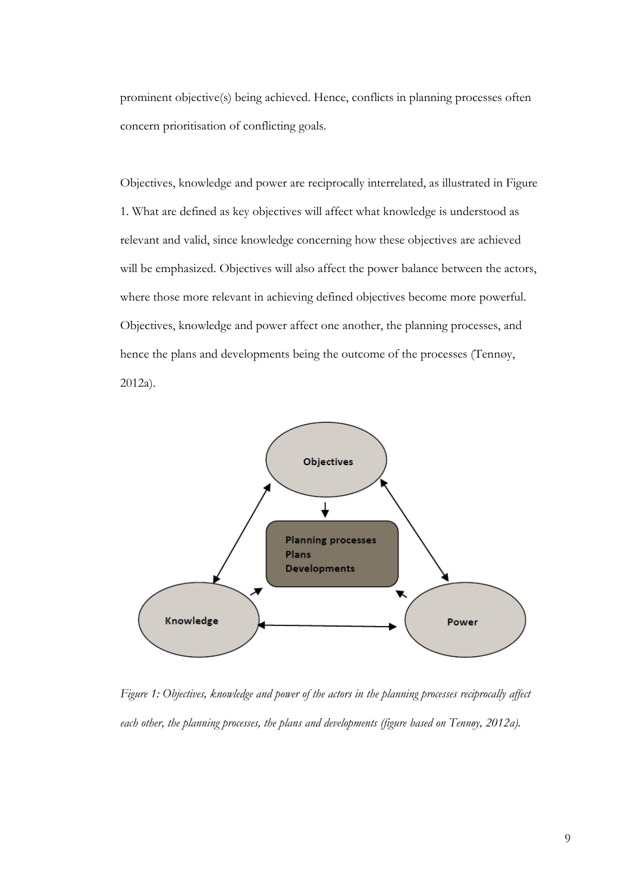prominent objective(s) being achieved. Hence, conflicts in planning processes often concern prioritisation of conflicting goals.

Objectives, knowledge and power are reciprocally interrelated, as illustrated in Figure 1. What are defined as key objectives will affect what knowledge is understood as relevant and valid, since knowledge concerning how these objectives are achieved will be emphasized. Objectives will also affect the power balance between the actors, where those more relevant in achieving defined objectives become more powerful. Objectives, knowledge and power affect one another, the planning processes, and hence the plans and developments being the outcome of the processes (Tennøy, 2012a).



*Figure 1: Objectives, knowledge and power of the actors in the planning processes reciprocally affect each other, the planning processes, the plans and developments (figure based on Tennøy, 2012a).*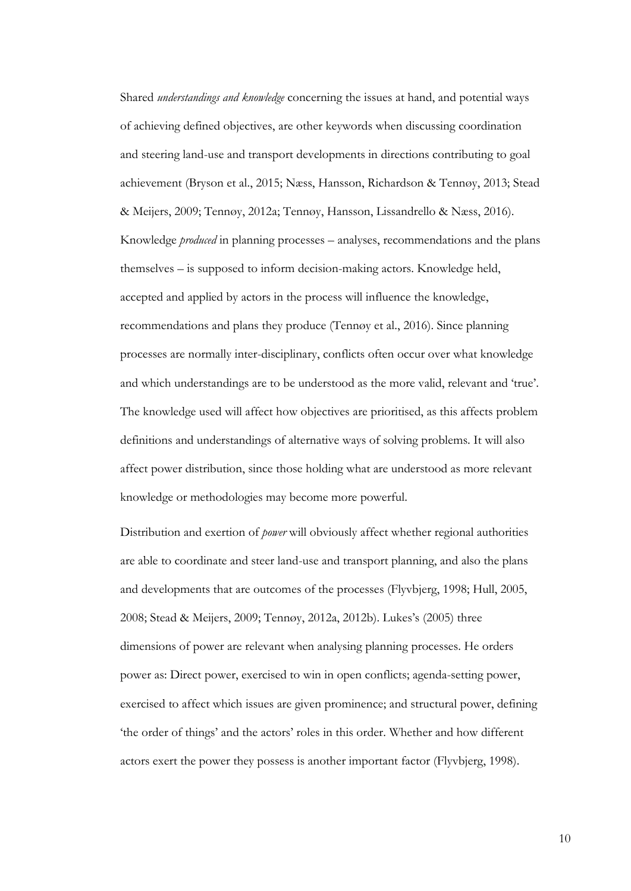Shared *understandings and knowledge* concerning the issues at hand, and potential ways of achieving defined objectives, are other keywords when discussing coordination and steering land-use and transport developments in directions contributing to goal achievement (Bryson et al., 2015; Næss, Hansson, Richardson & Tennøy, 2013; Stead & Meijers, 2009; Tennøy, 2012a; Tennøy, Hansson, Lissandrello & Næss, 2016). Knowledge *produced* in planning processes – analyses, recommendations and the plans themselves – is supposed to inform decision-making actors. Knowledge held, accepted and applied by actors in the process will influence the knowledge, recommendations and plans they produce (Tennøy et al., 2016). Since planning processes are normally inter-disciplinary, conflicts often occur over what knowledge and which understandings are to be understood as the more valid, relevant and 'true'. The knowledge used will affect how objectives are prioritised, as this affects problem definitions and understandings of alternative ways of solving problems. It will also affect power distribution, since those holding what are understood as more relevant knowledge or methodologies may become more powerful.

Distribution and exertion of *power* will obviously affect whether regional authorities are able to coordinate and steer land-use and transport planning, and also the plans and developments that are outcomes of the processes (Flyvbjerg, 1998; Hull, 2005, 2008; Stead & Meijers, 2009; Tennøy, 2012a, 2012b). Lukes's (2005) three dimensions of power are relevant when analysing planning processes. He orders power as: Direct power, exercised to win in open conflicts; agenda-setting power, exercised to affect which issues are given prominence; and structural power, defining 'the order of things' and the actors' roles in this order. Whether and how different actors exert the power they possess is another important factor (Flyvbjerg, 1998).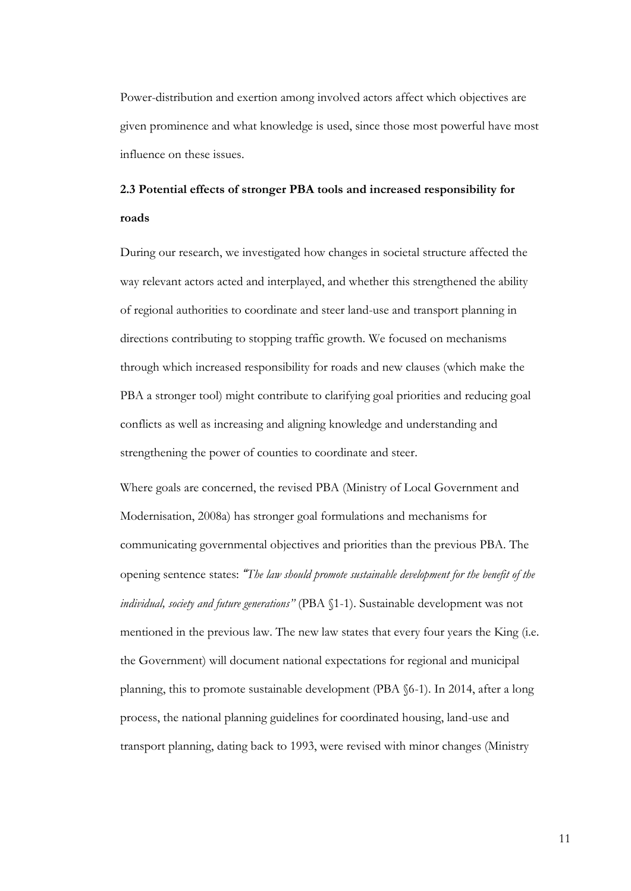Power-distribution and exertion among involved actors affect which objectives are given prominence and what knowledge is used, since those most powerful have most influence on these issues.

# **2.3 Potential effects of stronger PBA tools and increased responsibility for roads**

During our research, we investigated how changes in societal structure affected the way relevant actors acted and interplayed, and whether this strengthened the ability of regional authorities to coordinate and steer land-use and transport planning in directions contributing to stopping traffic growth. We focused on mechanisms through which increased responsibility for roads and new clauses (which make the PBA a stronger tool) might contribute to clarifying goal priorities and reducing goal conflicts as well as increasing and aligning knowledge and understanding and strengthening the power of counties to coordinate and steer.

Where goals are concerned, the revised PBA (Ministry of Local Government and Modernisation, 2008a) has stronger goal formulations and mechanisms for communicating governmental objectives and priorities than the previous PBA. The opening sentence states: *"The law should promote sustainable development for the benefit of the individual, society and future generations"* (PBA §1-1). Sustainable development was not mentioned in the previous law. The new law states that every four years the King (i.e. the Government) will document national expectations for regional and municipal planning, this to promote sustainable development (PBA §6-1). In 2014, after a long process, the national planning guidelines for coordinated housing, land-use and transport planning, dating back to 1993, were revised with minor changes (Ministry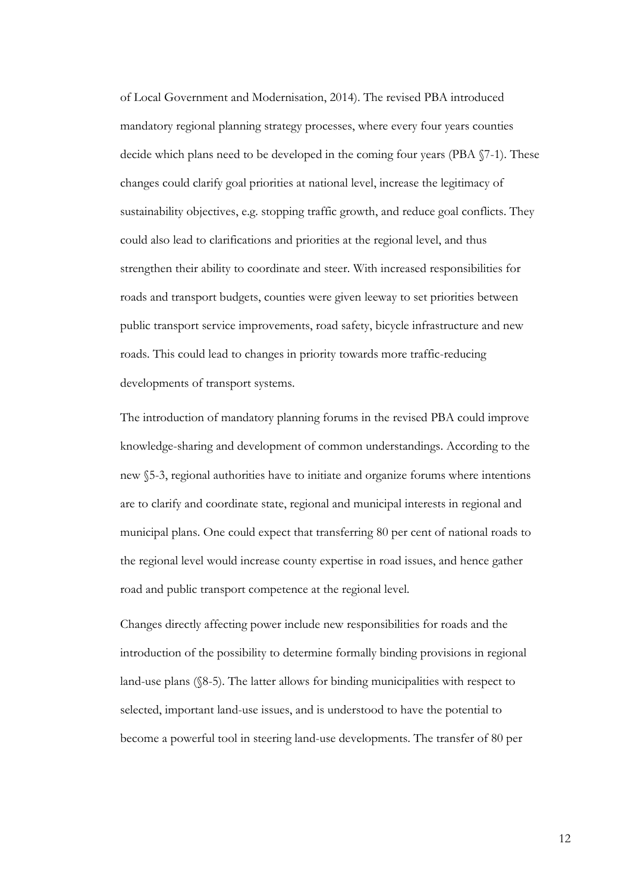of Local Government and Modernisation, 2014). The revised PBA introduced mandatory regional planning strategy processes, where every four years counties decide which plans need to be developed in the coming four years (PBA §7-1). These changes could clarify goal priorities at national level, increase the legitimacy of sustainability objectives, e.g. stopping traffic growth, and reduce goal conflicts. They could also lead to clarifications and priorities at the regional level, and thus strengthen their ability to coordinate and steer. With increased responsibilities for roads and transport budgets, counties were given leeway to set priorities between public transport service improvements, road safety, bicycle infrastructure and new roads. This could lead to changes in priority towards more traffic-reducing developments of transport systems.

The introduction of mandatory planning forums in the revised PBA could improve knowledge-sharing and development of common understandings. According to the new §5-3, regional authorities have to initiate and organize forums where intentions are to clarify and coordinate state, regional and municipal interests in regional and municipal plans. One could expect that transferring 80 per cent of national roads to the regional level would increase county expertise in road issues, and hence gather road and public transport competence at the regional level.

Changes directly affecting power include new responsibilities for roads and the introduction of the possibility to determine formally binding provisions in regional land-use plans (§8-5). The latter allows for binding municipalities with respect to selected, important land-use issues, and is understood to have the potential to become a powerful tool in steering land-use developments. The transfer of 80 per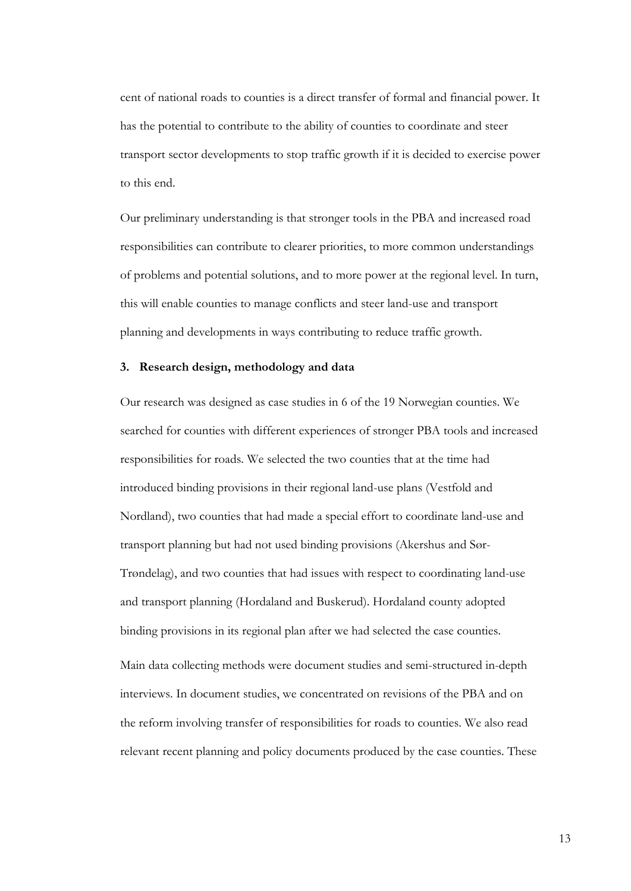cent of national roads to counties is a direct transfer of formal and financial power. It has the potential to contribute to the ability of counties to coordinate and steer transport sector developments to stop traffic growth if it is decided to exercise power to this end.

Our preliminary understanding is that stronger tools in the PBA and increased road responsibilities can contribute to clearer priorities, to more common understandings of problems and potential solutions, and to more power at the regional level. In turn, this will enable counties to manage conflicts and steer land-use and transport planning and developments in ways contributing to reduce traffic growth.

## **3. Research design, methodology and data**

Our research was designed as case studies in 6 of the 19 Norwegian counties. We searched for counties with different experiences of stronger PBA tools and increased responsibilities for roads. We selected the two counties that at the time had introduced binding provisions in their regional land-use plans (Vestfold and Nordland), two counties that had made a special effort to coordinate land-use and transport planning but had not used binding provisions (Akershus and Sør-Trøndelag), and two counties that had issues with respect to coordinating land-use and transport planning (Hordaland and Buskerud). Hordaland county adopted binding provisions in its regional plan after we had selected the case counties.

Main data collecting methods were document studies and semi-structured in-depth interviews. In document studies, we concentrated on revisions of the PBA and on the reform involving transfer of responsibilities for roads to counties. We also read relevant recent planning and policy documents produced by the case counties. These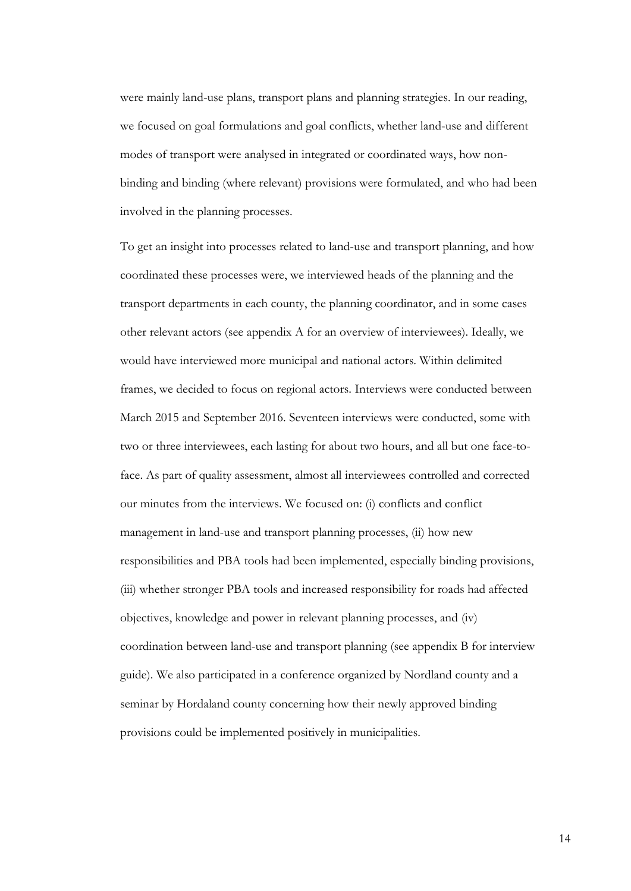were mainly land-use plans, transport plans and planning strategies. In our reading, we focused on goal formulations and goal conflicts, whether land-use and different modes of transport were analysed in integrated or coordinated ways, how nonbinding and binding (where relevant) provisions were formulated, and who had been involved in the planning processes.

To get an insight into processes related to land-use and transport planning, and how coordinated these processes were, we interviewed heads of the planning and the transport departments in each county, the planning coordinator, and in some cases other relevant actors (see appendix A for an overview of interviewees). Ideally, we would have interviewed more municipal and national actors. Within delimited frames, we decided to focus on regional actors. Interviews were conducted between March 2015 and September 2016. Seventeen interviews were conducted, some with two or three interviewees, each lasting for about two hours, and all but one face-toface. As part of quality assessment, almost all interviewees controlled and corrected our minutes from the interviews. We focused on: (i) conflicts and conflict management in land-use and transport planning processes, (ii) how new responsibilities and PBA tools had been implemented, especially binding provisions, (iii) whether stronger PBA tools and increased responsibility for roads had affected objectives, knowledge and power in relevant planning processes, and (iv) coordination between land-use and transport planning (see appendix B for interview guide). We also participated in a conference organized by Nordland county and a seminar by Hordaland county concerning how their newly approved binding provisions could be implemented positively in municipalities.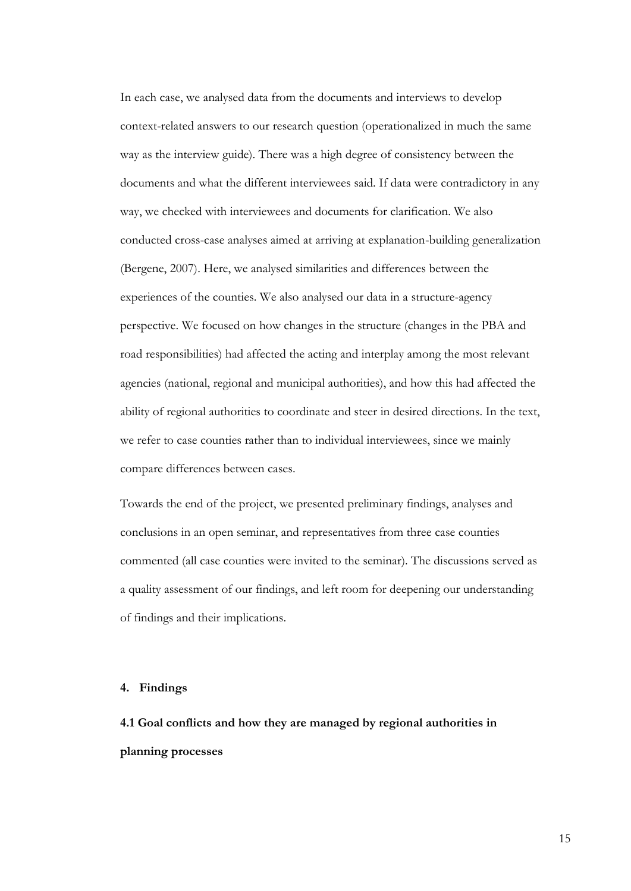In each case, we analysed data from the documents and interviews to develop context-related answers to our research question (operationalized in much the same way as the interview guide). There was a high degree of consistency between the documents and what the different interviewees said. If data were contradictory in any way, we checked with interviewees and documents for clarification. We also conducted cross-case analyses aimed at arriving at explanation-building generalization (Bergene, 2007). Here, we analysed similarities and differences between the experiences of the counties. We also analysed our data in a structure-agency perspective. We focused on how changes in the structure (changes in the PBA and road responsibilities) had affected the acting and interplay among the most relevant agencies (national, regional and municipal authorities), and how this had affected the ability of regional authorities to coordinate and steer in desired directions. In the text, we refer to case counties rather than to individual interviewees, since we mainly compare differences between cases.

Towards the end of the project, we presented preliminary findings, analyses and conclusions in an open seminar, and representatives from three case counties commented (all case counties were invited to the seminar). The discussions served as a quality assessment of our findings, and left room for deepening our understanding of findings and their implications.

### **4. Findings**

**4.1 Goal conflicts and how they are managed by regional authorities in planning processes**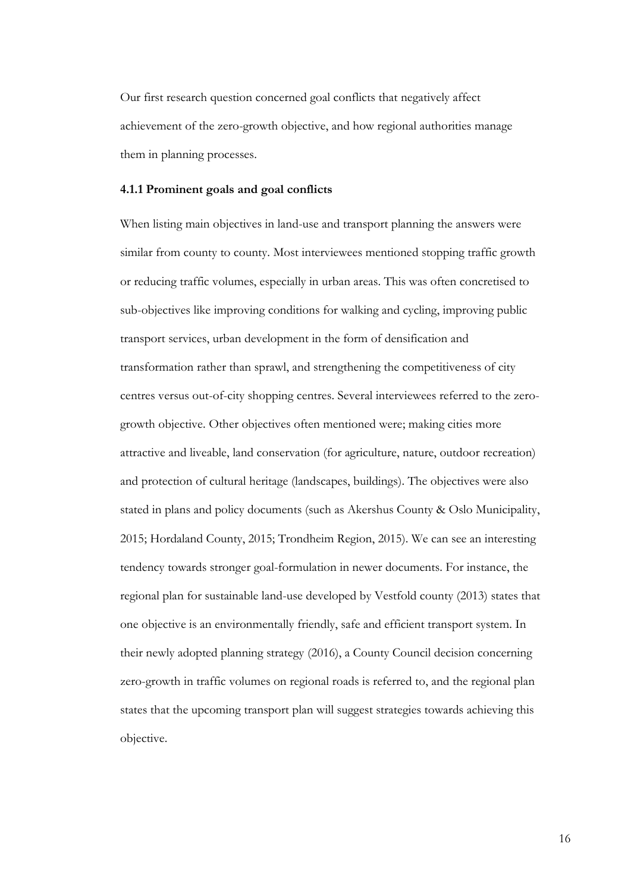Our first research question concerned goal conflicts that negatively affect achievement of the zero-growth objective, and how regional authorities manage them in planning processes.

### **4.1.1 Prominent goals and goal conflicts**

When listing main objectives in land-use and transport planning the answers were similar from county to county. Most interviewees mentioned stopping traffic growth or reducing traffic volumes, especially in urban areas. This was often concretised to sub-objectives like improving conditions for walking and cycling, improving public transport services, urban development in the form of densification and transformation rather than sprawl, and strengthening the competitiveness of city centres versus out-of-city shopping centres. Several interviewees referred to the zerogrowth objective. Other objectives often mentioned were; making cities more attractive and liveable, land conservation (for agriculture, nature, outdoor recreation) and protection of cultural heritage (landscapes, buildings). The objectives were also stated in plans and policy documents (such as Akershus County & Oslo Municipality, 2015; Hordaland County, 2015; Trondheim Region, 2015). We can see an interesting tendency towards stronger goal-formulation in newer documents. For instance, the regional plan for sustainable land-use developed by Vestfold county (2013) states that one objective is an environmentally friendly, safe and efficient transport system. In their newly adopted planning strategy (2016), a County Council decision concerning zero-growth in traffic volumes on regional roads is referred to, and the regional plan states that the upcoming transport plan will suggest strategies towards achieving this objective.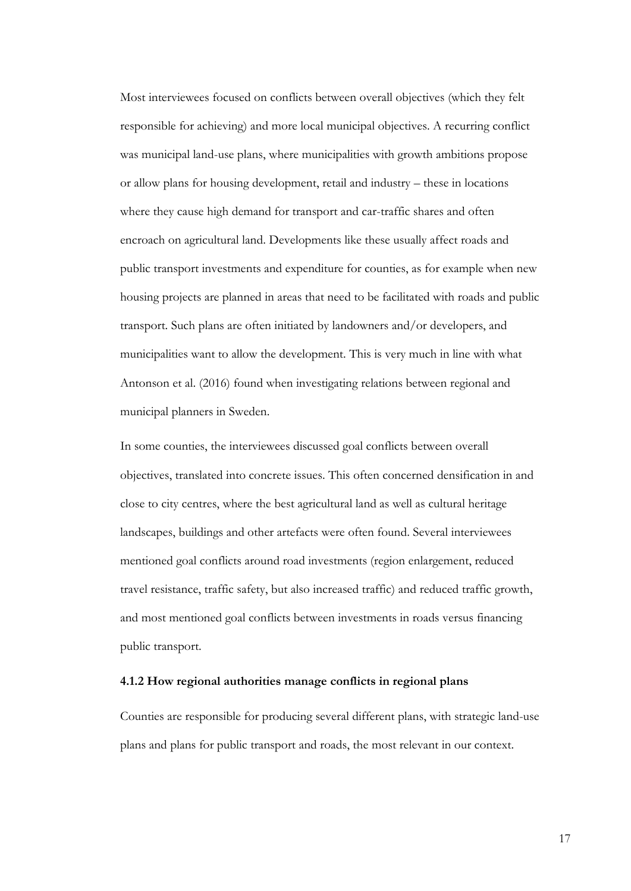Most interviewees focused on conflicts between overall objectives (which they felt responsible for achieving) and more local municipal objectives. A recurring conflict was municipal land-use plans, where municipalities with growth ambitions propose or allow plans for housing development, retail and industry – these in locations where they cause high demand for transport and car-traffic shares and often encroach on agricultural land. Developments like these usually affect roads and public transport investments and expenditure for counties, as for example when new housing projects are planned in areas that need to be facilitated with roads and public transport. Such plans are often initiated by landowners and/or developers, and municipalities want to allow the development. This is very much in line with what Antonson et al. (2016) found when investigating relations between regional and municipal planners in Sweden.

In some counties, the interviewees discussed goal conflicts between overall objectives, translated into concrete issues. This often concerned densification in and close to city centres, where the best agricultural land as well as cultural heritage landscapes, buildings and other artefacts were often found. Several interviewees mentioned goal conflicts around road investments (region enlargement, reduced travel resistance, traffic safety, but also increased traffic) and reduced traffic growth, and most mentioned goal conflicts between investments in roads versus financing public transport.

# **4.1.2 How regional authorities manage conflicts in regional plans**

Counties are responsible for producing several different plans, with strategic land-use plans and plans for public transport and roads, the most relevant in our context.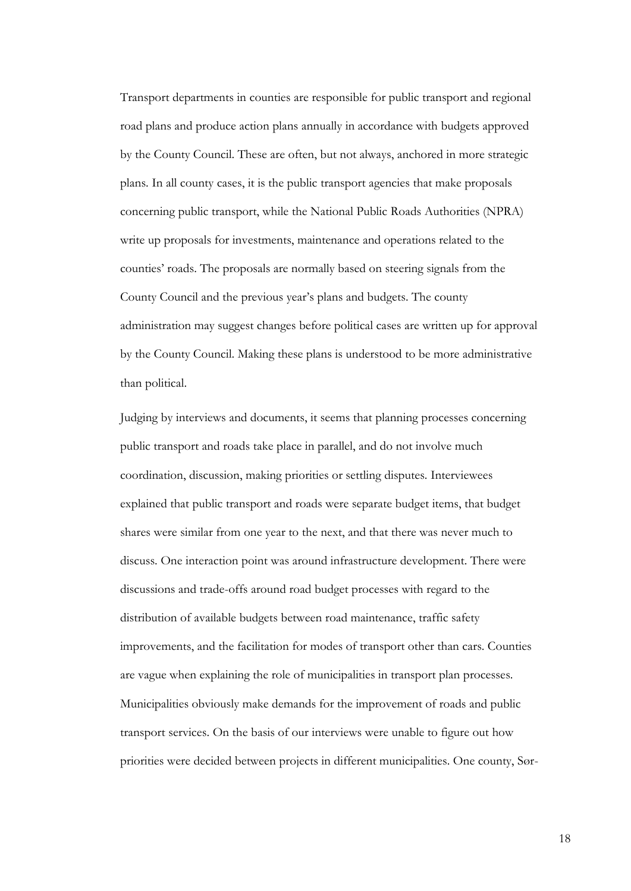Transport departments in counties are responsible for public transport and regional road plans and produce action plans annually in accordance with budgets approved by the County Council. These are often, but not always, anchored in more strategic plans. In all county cases, it is the public transport agencies that make proposals concerning public transport, while the National Public Roads Authorities (NPRA) write up proposals for investments, maintenance and operations related to the counties' roads. The proposals are normally based on steering signals from the County Council and the previous year's plans and budgets. The county administration may suggest changes before political cases are written up for approval by the County Council. Making these plans is understood to be more administrative than political.

Judging by interviews and documents, it seems that planning processes concerning public transport and roads take place in parallel, and do not involve much coordination, discussion, making priorities or settling disputes. Interviewees explained that public transport and roads were separate budget items, that budget shares were similar from one year to the next, and that there was never much to discuss. One interaction point was around infrastructure development. There were discussions and trade-offs around road budget processes with regard to the distribution of available budgets between road maintenance, traffic safety improvements, and the facilitation for modes of transport other than cars. Counties are vague when explaining the role of municipalities in transport plan processes. Municipalities obviously make demands for the improvement of roads and public transport services. On the basis of our interviews were unable to figure out how priorities were decided between projects in different municipalities. One county, Sør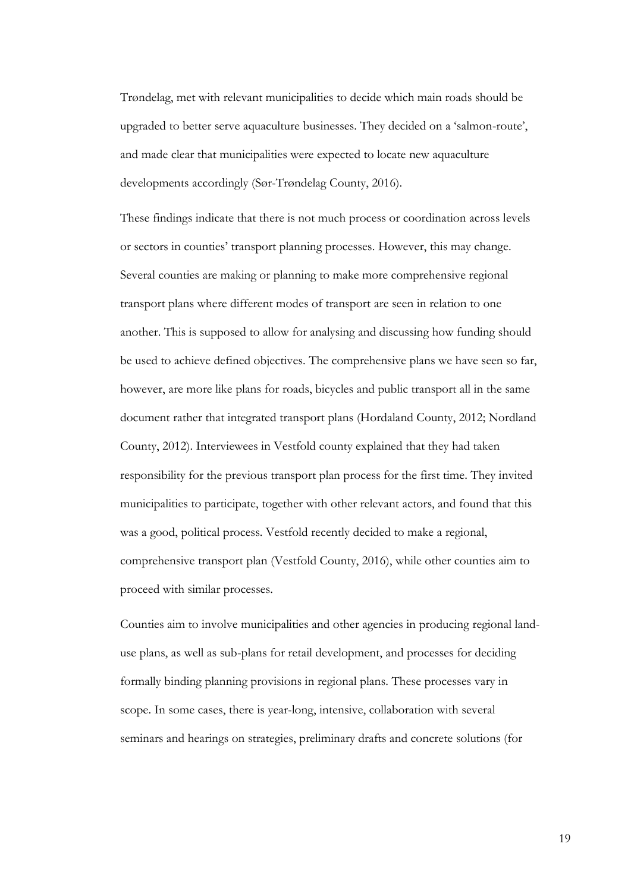Trøndelag, met with relevant municipalities to decide which main roads should be upgraded to better serve aquaculture businesses. They decided on a 'salmon-route', and made clear that municipalities were expected to locate new aquaculture developments accordingly (Sør-Trøndelag County, 2016).

These findings indicate that there is not much process or coordination across levels or sectors in counties' transport planning processes. However, this may change. Several counties are making or planning to make more comprehensive regional transport plans where different modes of transport are seen in relation to one another. This is supposed to allow for analysing and discussing how funding should be used to achieve defined objectives. The comprehensive plans we have seen so far, however, are more like plans for roads, bicycles and public transport all in the same document rather that integrated transport plans (Hordaland County, 2012; Nordland County, 2012). Interviewees in Vestfold county explained that they had taken responsibility for the previous transport plan process for the first time. They invited municipalities to participate, together with other relevant actors, and found that this was a good, political process. Vestfold recently decided to make a regional, comprehensive transport plan (Vestfold County, 2016), while other counties aim to proceed with similar processes.

Counties aim to involve municipalities and other agencies in producing regional landuse plans, as well as sub-plans for retail development, and processes for deciding formally binding planning provisions in regional plans. These processes vary in scope. In some cases, there is year-long, intensive, collaboration with several seminars and hearings on strategies, preliminary drafts and concrete solutions (for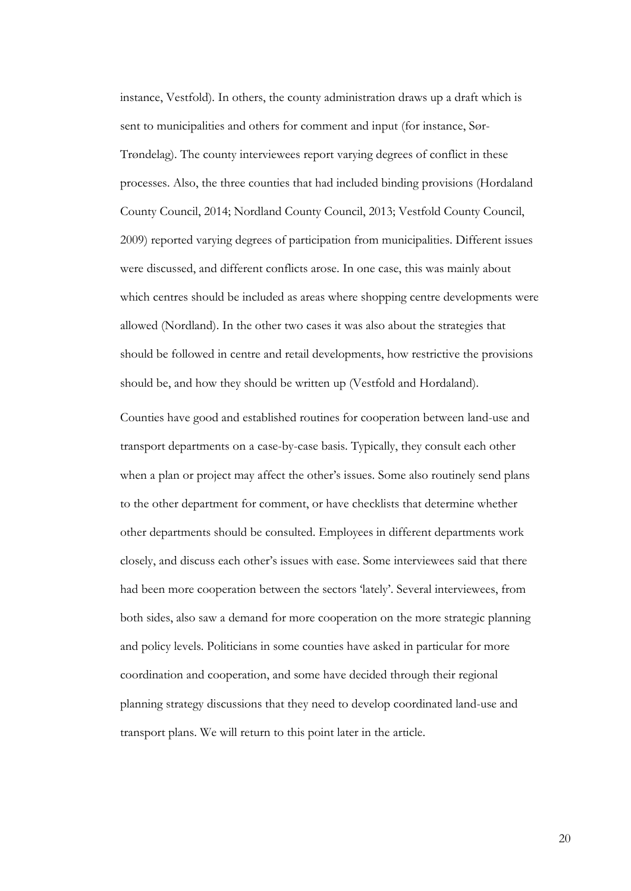instance, Vestfold). In others, the county administration draws up a draft which is sent to municipalities and others for comment and input (for instance, Sør-Trøndelag). The county interviewees report varying degrees of conflict in these processes. Also, the three counties that had included binding provisions (Hordaland County Council, 2014; Nordland County Council, 2013; Vestfold County Council, 2009) reported varying degrees of participation from municipalities. Different issues were discussed, and different conflicts arose. In one case, this was mainly about which centres should be included as areas where shopping centre developments were allowed (Nordland). In the other two cases it was also about the strategies that should be followed in centre and retail developments, how restrictive the provisions should be, and how they should be written up (Vestfold and Hordaland).

Counties have good and established routines for cooperation between land-use and transport departments on a case-by-case basis. Typically, they consult each other when a plan or project may affect the other's issues. Some also routinely send plans to the other department for comment, or have checklists that determine whether other departments should be consulted. Employees in different departments work closely, and discuss each other's issues with ease. Some interviewees said that there had been more cooperation between the sectors 'lately'. Several interviewees, from both sides, also saw a demand for more cooperation on the more strategic planning and policy levels. Politicians in some counties have asked in particular for more coordination and cooperation, and some have decided through their regional planning strategy discussions that they need to develop coordinated land-use and transport plans. We will return to this point later in the article.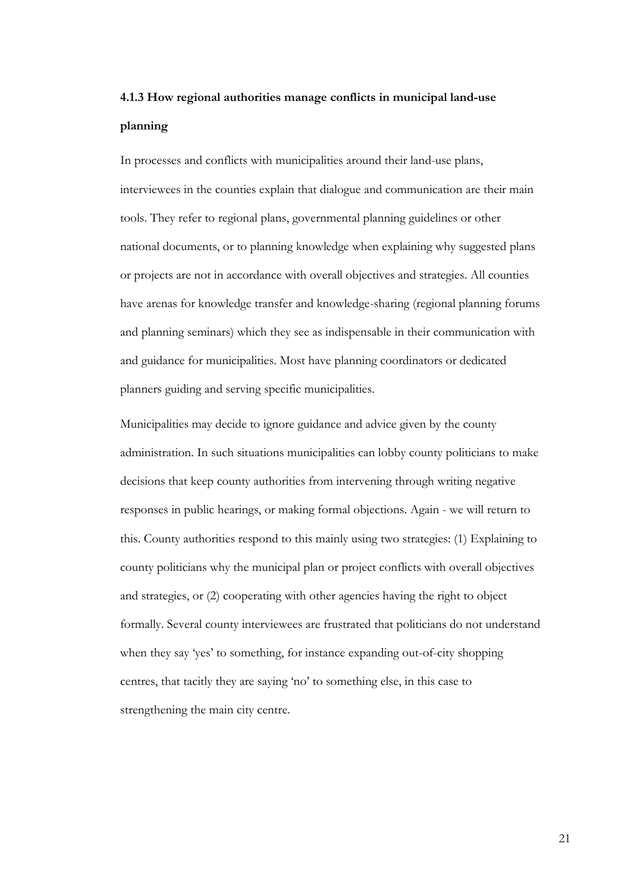# **4.1.3 How regional authorities manage conflicts in municipal land-use planning**

In processes and conflicts with municipalities around their land-use plans, interviewees in the counties explain that dialogue and communication are their main tools. They refer to regional plans, governmental planning guidelines or other national documents, or to planning knowledge when explaining why suggested plans or projects are not in accordance with overall objectives and strategies. All counties have arenas for knowledge transfer and knowledge-sharing (regional planning forums and planning seminars) which they see as indispensable in their communication with and guidance for municipalities. Most have planning coordinators or dedicated planners guiding and serving specific municipalities.

Municipalities may decide to ignore guidance and advice given by the county administration. In such situations municipalities can lobby county politicians to make decisions that keep county authorities from intervening through writing negative responses in public hearings, or making formal objections. Again - we will return to this. County authorities respond to this mainly using two strategies: (1) Explaining to county politicians why the municipal plan or project conflicts with overall objectives and strategies, or (2) cooperating with other agencies having the right to object formally. Several county interviewees are frustrated that politicians do not understand when they say 'yes' to something, for instance expanding out-of-city shopping centres, that tacitly they are saying 'no' to something else, in this case to strengthening the main city centre.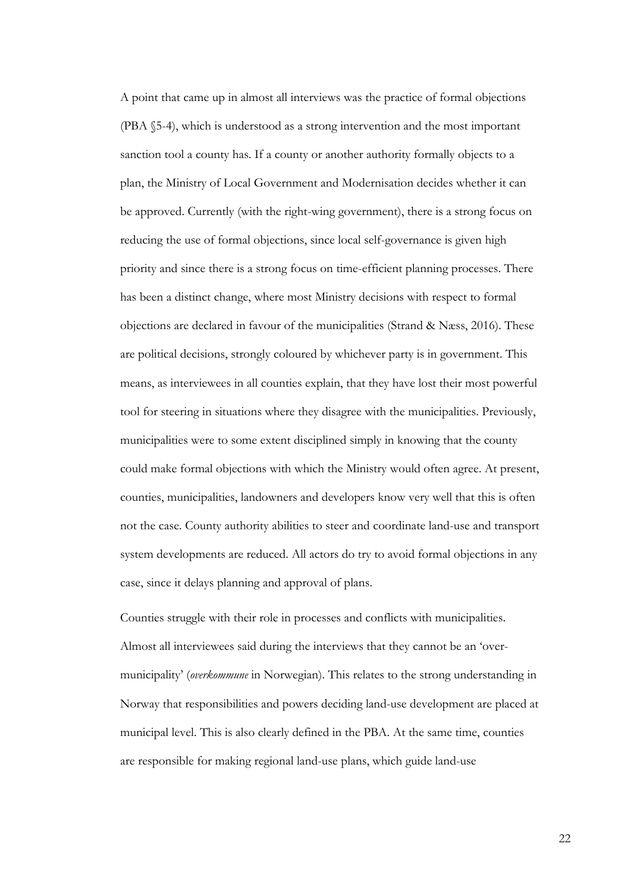A point that came up in almost all interviews was the practice of formal objections (PBA §5-4), which is understood as a strong intervention and the most important sanction tool a county has. If a county or another authority formally objects to a plan, the Ministry of Local Government and Modernisation decides whether it can be approved. Currently (with the right-wing government), there is a strong focus on reducing the use of formal objections, since local self-governance is given high priority and since there is a strong focus on time-efficient planning processes. There has been a distinct change, where most Ministry decisions with respect to formal objections are declared in favour of the municipalities (Strand & Næss, 2016). These are political decisions, strongly coloured by whichever party is in government. This means, as interviewees in all counties explain, that they have lost their most powerful tool for steering in situations where they disagree with the municipalities. Previously, municipalities were to some extent disciplined simply in knowing that the county could make formal objections with which the Ministry would often agree. At present, counties, municipalities, landowners and developers know very well that this is often not the case. County authority abilities to steer and coordinate land-use and transport system developments are reduced. All actors do try to avoid formal objections in any case, since it delays planning and approval of plans.

Counties struggle with their role in processes and conflicts with municipalities. Almost all interviewees said during the interviews that they cannot be an 'overmunicipality' (*overkommune* in Norwegian). This relates to the strong understanding in Norway that responsibilities and powers deciding land-use development are placed at municipal level. This is also clearly defined in the PBA. At the same time, counties are responsible for making regional land-use plans, which guide land-use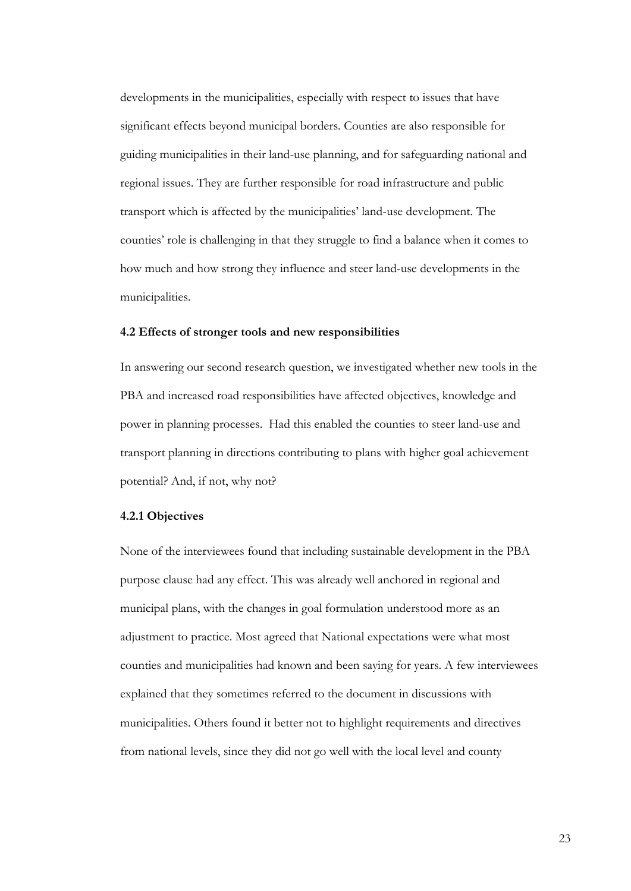developments in the municipalities, especially with respect to issues that have significant effects beyond municipal borders. Counties are also responsible for guiding municipalities in their land-use planning, and for safeguarding national and regional issues. They are further responsible for road infrastructure and public transport which is affected by the municipalities' land-use development. The counties' role is challenging in that they struggle to find a balance when it comes to how much and how strong they influence and steer land-use developments in the municipalities.

### **4.2 Effects of stronger tools and new responsibilities**

In answering our second research question, we investigated whether new tools in the PBA and increased road responsibilities have affected objectives, knowledge and power in planning processes. Had this enabled the counties to steer land-use and transport planning in directions contributing to plans with higher goal achievement potential? And, if not, why not?

### **4.2.1 Objectives**

None of the interviewees found that including sustainable development in the PBA purpose clause had any effect. This was already well anchored in regional and municipal plans, with the changes in goal formulation understood more as an adjustment to practice. Most agreed that National expectations were what most counties and municipalities had known and been saying for years. A few interviewees explained that they sometimes referred to the document in discussions with municipalities. Others found it better not to highlight requirements and directives from national levels, since they did not go well with the local level and county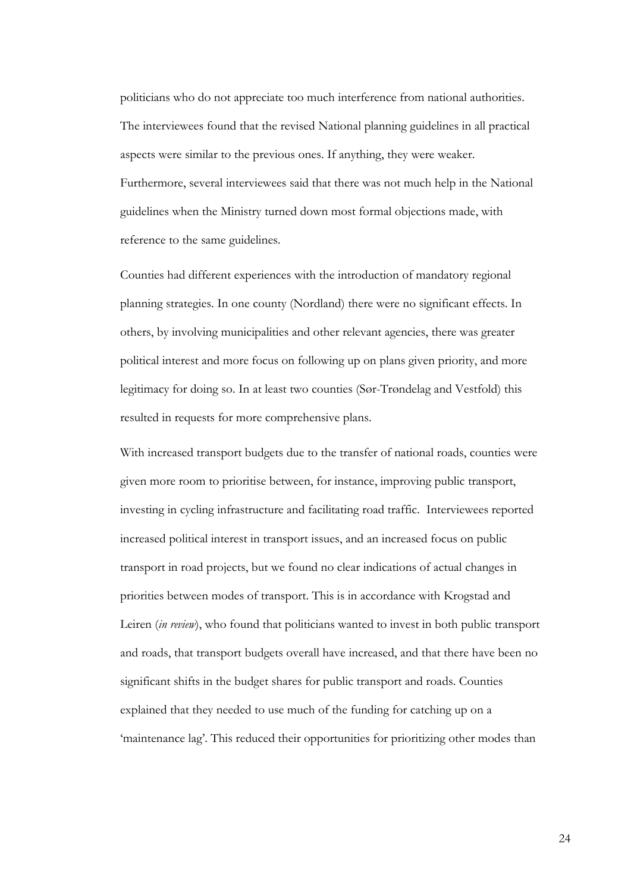politicians who do not appreciate too much interference from national authorities. The interviewees found that the revised National planning guidelines in all practical aspects were similar to the previous ones. If anything, they were weaker. Furthermore, several interviewees said that there was not much help in the National guidelines when the Ministry turned down most formal objections made, with reference to the same guidelines.

Counties had different experiences with the introduction of mandatory regional planning strategies. In one county (Nordland) there were no significant effects. In others, by involving municipalities and other relevant agencies, there was greater political interest and more focus on following up on plans given priority, and more legitimacy for doing so. In at least two counties (Sør-Trøndelag and Vestfold) this resulted in requests for more comprehensive plans.

With increased transport budgets due to the transfer of national roads, counties were given more room to prioritise between, for instance, improving public transport, investing in cycling infrastructure and facilitating road traffic. Interviewees reported increased political interest in transport issues, and an increased focus on public transport in road projects, but we found no clear indications of actual changes in priorities between modes of transport. This is in accordance with Krogstad and Leiren (*in review*), who found that politicians wanted to invest in both public transport and roads, that transport budgets overall have increased, and that there have been no significant shifts in the budget shares for public transport and roads. Counties explained that they needed to use much of the funding for catching up on a 'maintenance lag'. This reduced their opportunities for prioritizing other modes than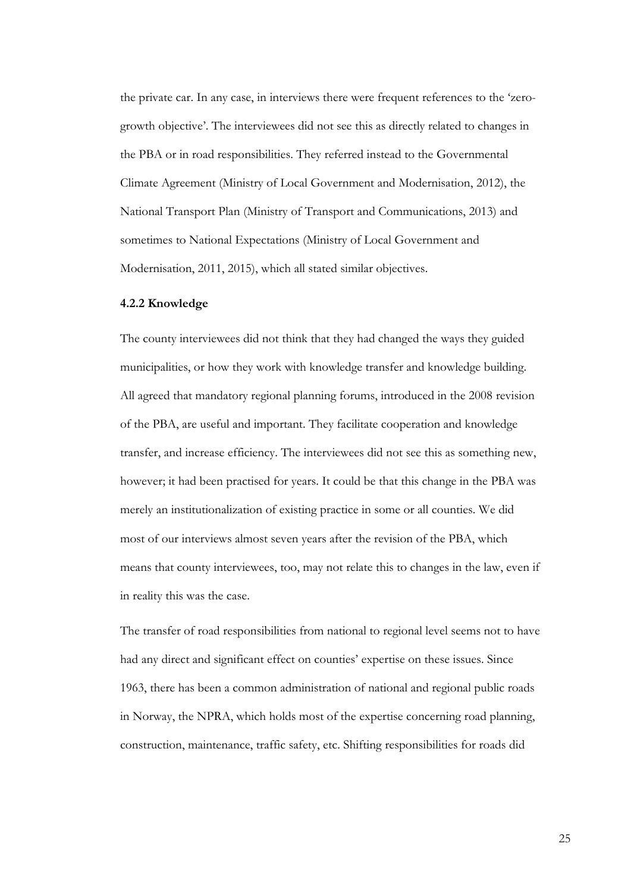the private car. In any case, in interviews there were frequent references to the 'zerogrowth objective'. The interviewees did not see this as directly related to changes in the PBA or in road responsibilities. They referred instead to the Governmental Climate Agreement (Ministry of Local Government and Modernisation, 2012), the National Transport Plan (Ministry of Transport and Communications, 2013) and sometimes to National Expectations (Ministry of Local Government and Modernisation, 2011, 2015), which all stated similar objectives.

### **4.2.2 Knowledge**

The county interviewees did not think that they had changed the ways they guided municipalities, or how they work with knowledge transfer and knowledge building. All agreed that mandatory regional planning forums, introduced in the 2008 revision of the PBA, are useful and important. They facilitate cooperation and knowledge transfer, and increase efficiency. The interviewees did not see this as something new, however; it had been practised for years. It could be that this change in the PBA was merely an institutionalization of existing practice in some or all counties. We did most of our interviews almost seven years after the revision of the PBA, which means that county interviewees, too, may not relate this to changes in the law, even if in reality this was the case.

The transfer of road responsibilities from national to regional level seems not to have had any direct and significant effect on counties' expertise on these issues. Since 1963, there has been a common administration of national and regional public roads in Norway, the NPRA, which holds most of the expertise concerning road planning, construction, maintenance, traffic safety, etc. Shifting responsibilities for roads did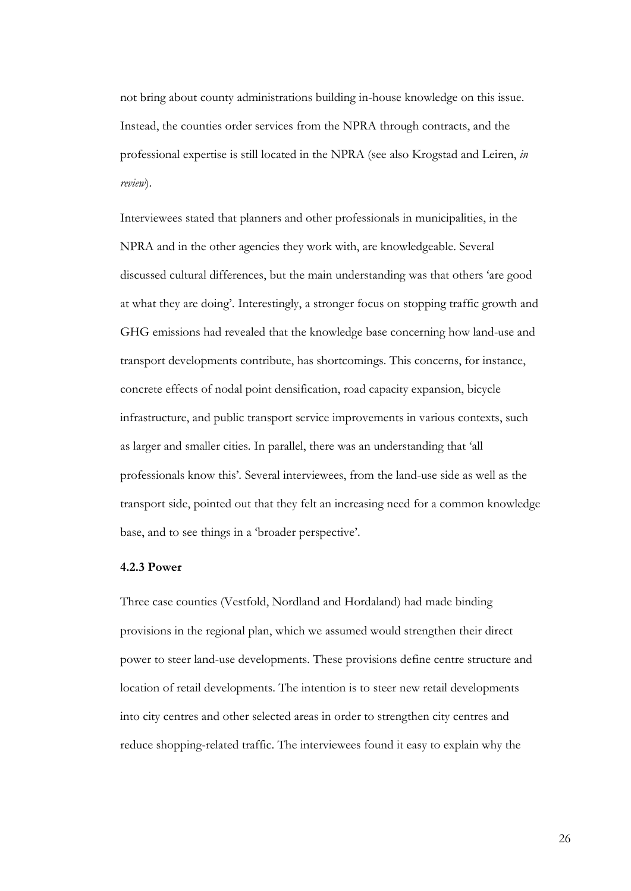not bring about county administrations building in-house knowledge on this issue. Instead, the counties order services from the NPRA through contracts, and the professional expertise is still located in the NPRA (see also Krogstad and Leiren, *in review*).

Interviewees stated that planners and other professionals in municipalities, in the NPRA and in the other agencies they work with, are knowledgeable. Several discussed cultural differences, but the main understanding was that others 'are good at what they are doing'. Interestingly, a stronger focus on stopping traffic growth and GHG emissions had revealed that the knowledge base concerning how land-use and transport developments contribute, has shortcomings. This concerns, for instance, concrete effects of nodal point densification, road capacity expansion, bicycle infrastructure, and public transport service improvements in various contexts, such as larger and smaller cities. In parallel, there was an understanding that 'all professionals know this'. Several interviewees, from the land-use side as well as the transport side, pointed out that they felt an increasing need for a common knowledge base, and to see things in a 'broader perspective'.

### **4.2.3 Power**

Three case counties (Vestfold, Nordland and Hordaland) had made binding provisions in the regional plan, which we assumed would strengthen their direct power to steer land-use developments. These provisions define centre structure and location of retail developments. The intention is to steer new retail developments into city centres and other selected areas in order to strengthen city centres and reduce shopping-related traffic. The interviewees found it easy to explain why the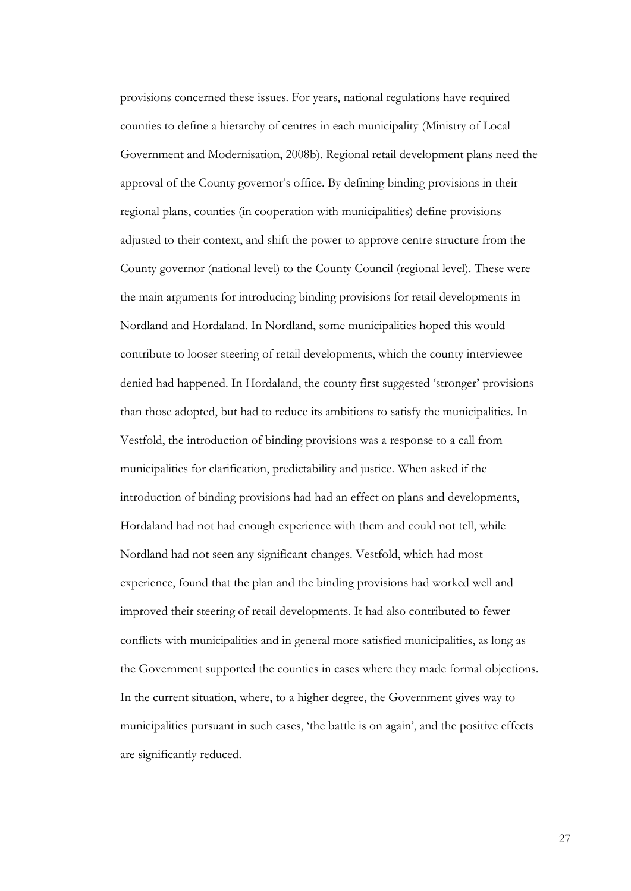provisions concerned these issues. For years, national regulations have required counties to define a hierarchy of centres in each municipality (Ministry of Local Government and Modernisation, 2008b). Regional retail development plans need the approval of the County governor's office. By defining binding provisions in their regional plans, counties (in cooperation with municipalities) define provisions adjusted to their context, and shift the power to approve centre structure from the County governor (national level) to the County Council (regional level). These were the main arguments for introducing binding provisions for retail developments in Nordland and Hordaland. In Nordland, some municipalities hoped this would contribute to looser steering of retail developments, which the county interviewee denied had happened. In Hordaland, the county first suggested 'stronger' provisions than those adopted, but had to reduce its ambitions to satisfy the municipalities. In Vestfold, the introduction of binding provisions was a response to a call from municipalities for clarification, predictability and justice. When asked if the introduction of binding provisions had had an effect on plans and developments, Hordaland had not had enough experience with them and could not tell, while Nordland had not seen any significant changes. Vestfold, which had most experience, found that the plan and the binding provisions had worked well and improved their steering of retail developments. It had also contributed to fewer conflicts with municipalities and in general more satisfied municipalities, as long as the Government supported the counties in cases where they made formal objections. In the current situation, where, to a higher degree, the Government gives way to municipalities pursuant in such cases, 'the battle is on again', and the positive effects are significantly reduced.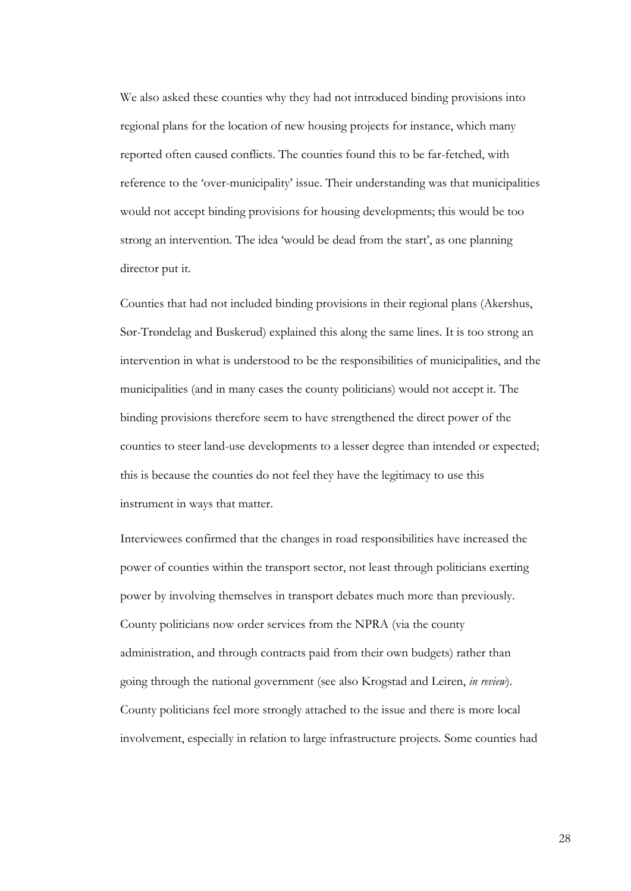We also asked these counties why they had not introduced binding provisions into regional plans for the location of new housing projects for instance, which many reported often caused conflicts. The counties found this to be far-fetched, with reference to the 'over-municipality' issue. Their understanding was that municipalities would not accept binding provisions for housing developments; this would be too strong an intervention. The idea 'would be dead from the start', as one planning director put it.

Counties that had not included binding provisions in their regional plans (Akershus, Sør-Trøndelag and Buskerud) explained this along the same lines. It is too strong an intervention in what is understood to be the responsibilities of municipalities, and the municipalities (and in many cases the county politicians) would not accept it. The binding provisions therefore seem to have strengthened the direct power of the counties to steer land-use developments to a lesser degree than intended or expected; this is because the counties do not feel they have the legitimacy to use this instrument in ways that matter.

Interviewees confirmed that the changes in road responsibilities have increased the power of counties within the transport sector, not least through politicians exerting power by involving themselves in transport debates much more than previously. County politicians now order services from the NPRA (via the county administration, and through contracts paid from their own budgets) rather than going through the national government (see also Krogstad and Leiren, *in review*). County politicians feel more strongly attached to the issue and there is more local involvement, especially in relation to large infrastructure projects. Some counties had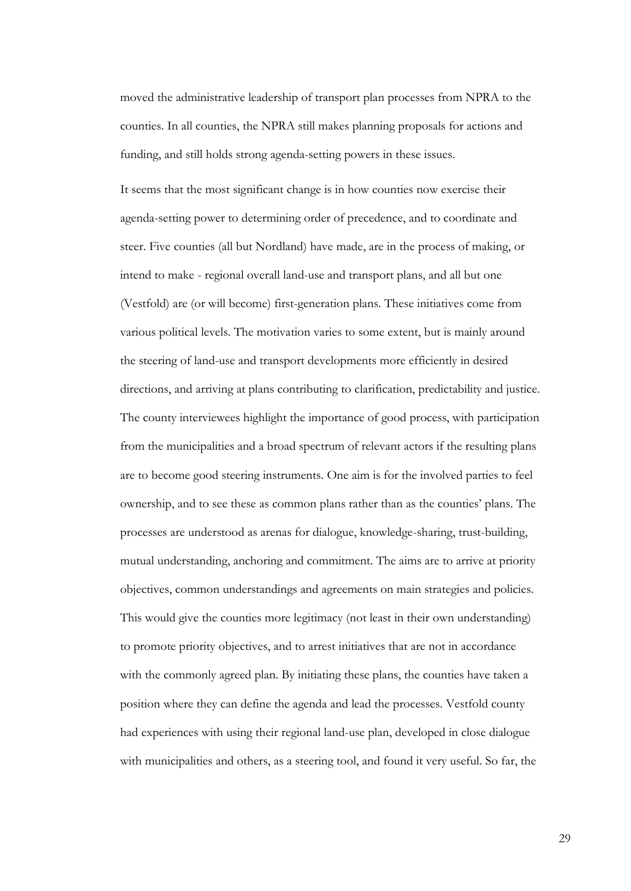moved the administrative leadership of transport plan processes from NPRA to the counties. In all counties, the NPRA still makes planning proposals for actions and funding, and still holds strong agenda-setting powers in these issues.

It seems that the most significant change is in how counties now exercise their agenda-setting power to determining order of precedence, and to coordinate and steer. Five counties (all but Nordland) have made, are in the process of making, or intend to make - regional overall land-use and transport plans, and all but one (Vestfold) are (or will become) first-generation plans. These initiatives come from various political levels. The motivation varies to some extent, but is mainly around the steering of land-use and transport developments more efficiently in desired directions, and arriving at plans contributing to clarification, predictability and justice. The county interviewees highlight the importance of good process, with participation from the municipalities and a broad spectrum of relevant actors if the resulting plans are to become good steering instruments. One aim is for the involved parties to feel ownership, and to see these as common plans rather than as the counties' plans. The processes are understood as arenas for dialogue, knowledge-sharing, trust-building, mutual understanding, anchoring and commitment. The aims are to arrive at priority objectives, common understandings and agreements on main strategies and policies. This would give the counties more legitimacy (not least in their own understanding) to promote priority objectives, and to arrest initiatives that are not in accordance with the commonly agreed plan. By initiating these plans, the counties have taken a position where they can define the agenda and lead the processes. Vestfold county had experiences with using their regional land-use plan, developed in close dialogue with municipalities and others, as a steering tool, and found it very useful. So far, the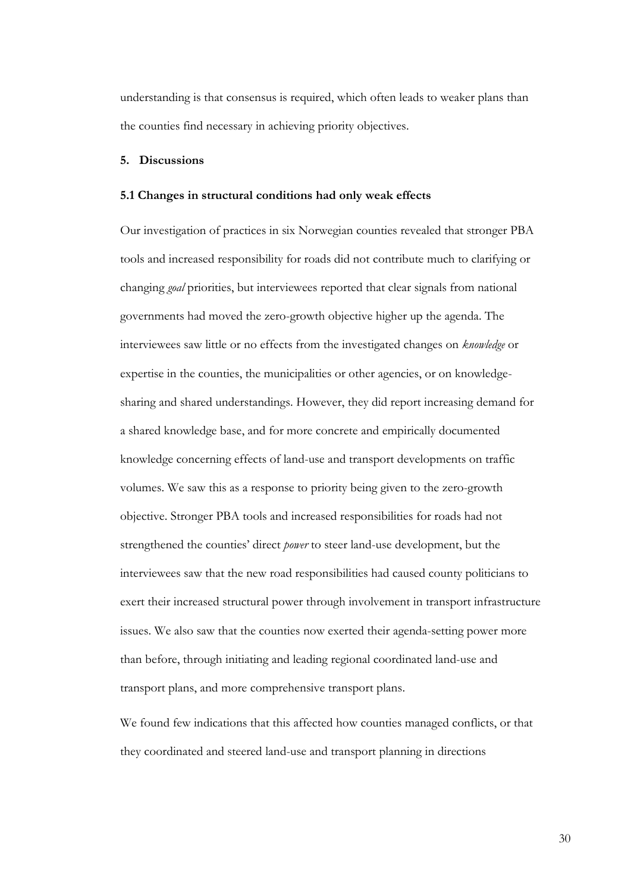understanding is that consensus is required, which often leads to weaker plans than the counties find necessary in achieving priority objectives.

### **5. Discussions**

### **5.1 Changes in structural conditions had only weak effects**

Our investigation of practices in six Norwegian counties revealed that stronger PBA tools and increased responsibility for roads did not contribute much to clarifying or changing *goal* priorities, but interviewees reported that clear signals from national governments had moved the zero-growth objective higher up the agenda. The interviewees saw little or no effects from the investigated changes on *knowledge* or expertise in the counties, the municipalities or other agencies, or on knowledgesharing and shared understandings. However, they did report increasing demand for a shared knowledge base, and for more concrete and empirically documented knowledge concerning effects of land-use and transport developments on traffic volumes. We saw this as a response to priority being given to the zero-growth objective. Stronger PBA tools and increased responsibilities for roads had not strengthened the counties' direct *power* to steer land-use development, but the interviewees saw that the new road responsibilities had caused county politicians to exert their increased structural power through involvement in transport infrastructure issues. We also saw that the counties now exerted their agenda-setting power more than before, through initiating and leading regional coordinated land-use and transport plans, and more comprehensive transport plans.

We found few indications that this affected how counties managed conflicts, or that they coordinated and steered land-use and transport planning in directions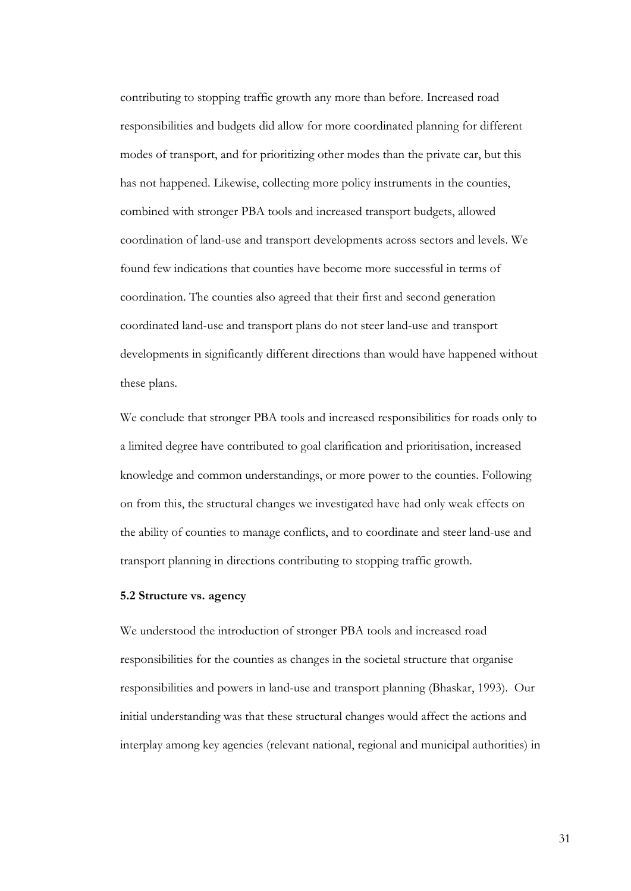contributing to stopping traffic growth any more than before. Increased road responsibilities and budgets did allow for more coordinated planning for different modes of transport, and for prioritizing other modes than the private car, but this has not happened. Likewise, collecting more policy instruments in the counties, combined with stronger PBA tools and increased transport budgets, allowed coordination of land-use and transport developments across sectors and levels. We found few indications that counties have become more successful in terms of coordination. The counties also agreed that their first and second generation coordinated land-use and transport plans do not steer land-use and transport developments in significantly different directions than would have happened without these plans.

We conclude that stronger PBA tools and increased responsibilities for roads only to a limited degree have contributed to goal clarification and prioritisation, increased knowledge and common understandings, or more power to the counties. Following on from this, the structural changes we investigated have had only weak effects on the ability of counties to manage conflicts, and to coordinate and steer land-use and transport planning in directions contributing to stopping traffic growth.

## **5.2 Structure vs. agency**

We understood the introduction of stronger PBA tools and increased road responsibilities for the counties as changes in the societal structure that organise responsibilities and powers in land-use and transport planning (Bhaskar, 1993). Our initial understanding was that these structural changes would affect the actions and interplay among key agencies (relevant national, regional and municipal authorities) in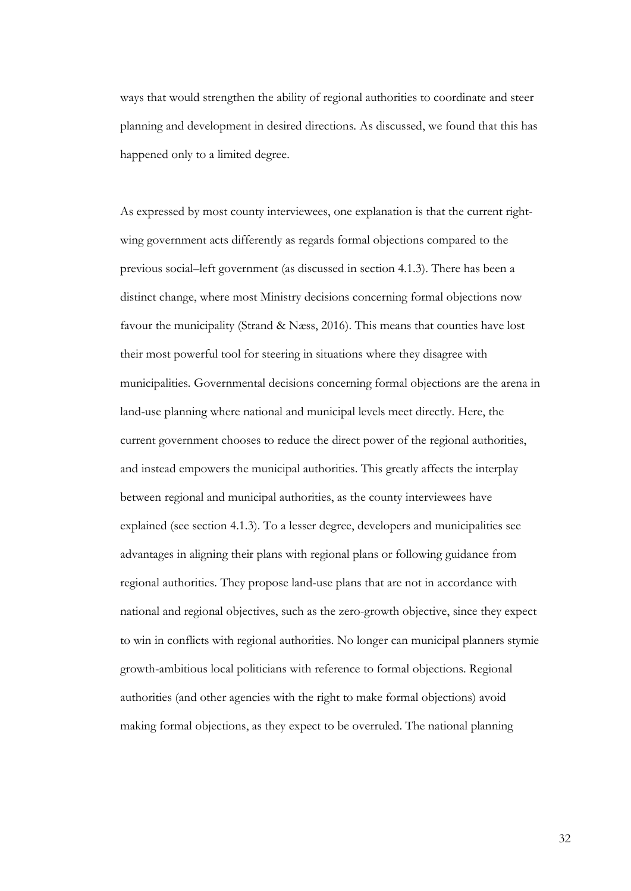ways that would strengthen the ability of regional authorities to coordinate and steer planning and development in desired directions. As discussed, we found that this has happened only to a limited degree.

As expressed by most county interviewees, one explanation is that the current rightwing government acts differently as regards formal objections compared to the previous social–left government (as discussed in section 4.1.3). There has been a distinct change, where most Ministry decisions concerning formal objections now favour the municipality (Strand & Næss, 2016). This means that counties have lost their most powerful tool for steering in situations where they disagree with municipalities. Governmental decisions concerning formal objections are the arena in land-use planning where national and municipal levels meet directly. Here, the current government chooses to reduce the direct power of the regional authorities, and instead empowers the municipal authorities. This greatly affects the interplay between regional and municipal authorities, as the county interviewees have explained (see section 4.1.3). To a lesser degree, developers and municipalities see advantages in aligning their plans with regional plans or following guidance from regional authorities. They propose land-use plans that are not in accordance with national and regional objectives, such as the zero-growth objective, since they expect to win in conflicts with regional authorities. No longer can municipal planners stymie growth-ambitious local politicians with reference to formal objections. Regional authorities (and other agencies with the right to make formal objections) avoid making formal objections, as they expect to be overruled. The national planning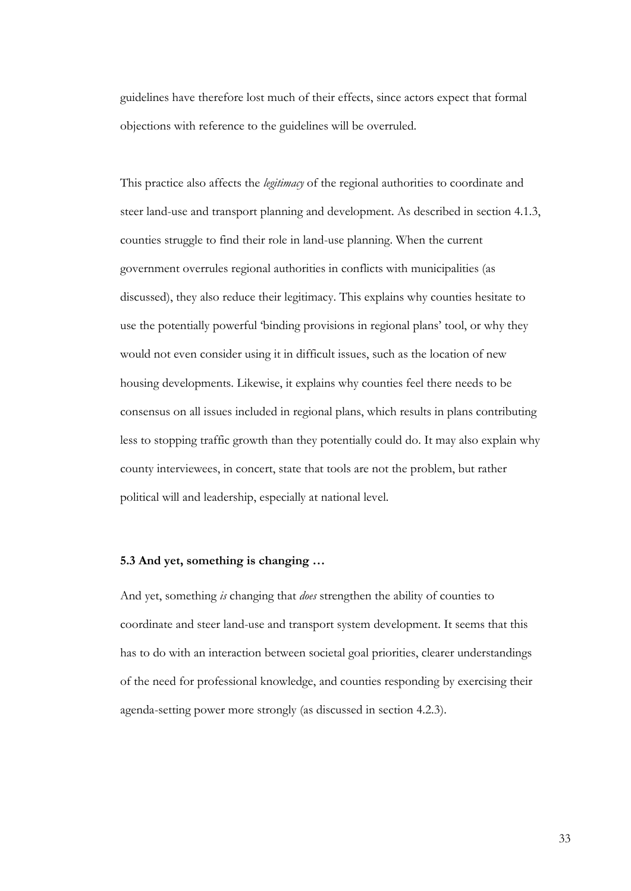guidelines have therefore lost much of their effects, since actors expect that formal objections with reference to the guidelines will be overruled.

This practice also affects the *legitimacy* of the regional authorities to coordinate and steer land-use and transport planning and development. As described in section 4.1.3, counties struggle to find their role in land-use planning. When the current government overrules regional authorities in conflicts with municipalities (as discussed), they also reduce their legitimacy. This explains why counties hesitate to use the potentially powerful 'binding provisions in regional plans' tool, or why they would not even consider using it in difficult issues, such as the location of new housing developments. Likewise, it explains why counties feel there needs to be consensus on all issues included in regional plans, which results in plans contributing less to stopping traffic growth than they potentially could do. It may also explain why county interviewees, in concert, state that tools are not the problem, but rather political will and leadership, especially at national level.

# **5.3 And yet, something is changing …**

And yet, something *is* changing that *does* strengthen the ability of counties to coordinate and steer land-use and transport system development. It seems that this has to do with an interaction between societal goal priorities, clearer understandings of the need for professional knowledge, and counties responding by exercising their agenda-setting power more strongly (as discussed in section 4.2.3).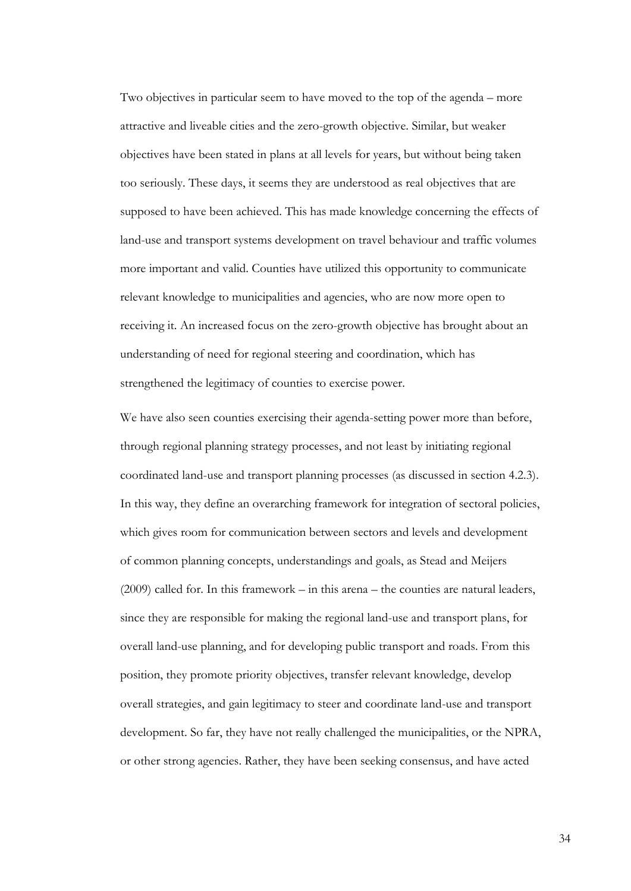Two objectives in particular seem to have moved to the top of the agenda – more attractive and liveable cities and the zero-growth objective. Similar, but weaker objectives have been stated in plans at all levels for years, but without being taken too seriously. These days, it seems they are understood as real objectives that are supposed to have been achieved. This has made knowledge concerning the effects of land-use and transport systems development on travel behaviour and traffic volumes more important and valid. Counties have utilized this opportunity to communicate relevant knowledge to municipalities and agencies, who are now more open to receiving it. An increased focus on the zero-growth objective has brought about an understanding of need for regional steering and coordination, which has strengthened the legitimacy of counties to exercise power.

We have also seen counties exercising their agenda-setting power more than before, through regional planning strategy processes, and not least by initiating regional coordinated land-use and transport planning processes (as discussed in section 4.2.3). In this way, they define an overarching framework for integration of sectoral policies, which gives room for communication between sectors and levels and development of common planning concepts, understandings and goals, as Stead and Meijers (2009) called for. In this framework – in this arena – the counties are natural leaders, since they are responsible for making the regional land-use and transport plans, for overall land-use planning, and for developing public transport and roads. From this position, they promote priority objectives, transfer relevant knowledge, develop overall strategies, and gain legitimacy to steer and coordinate land-use and transport development. So far, they have not really challenged the municipalities, or the NPRA, or other strong agencies. Rather, they have been seeking consensus, and have acted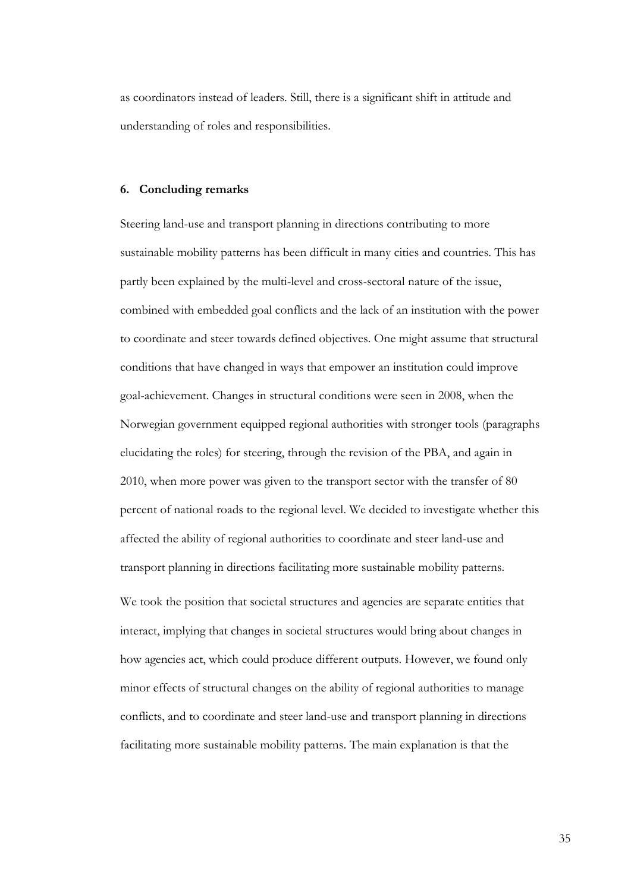as coordinators instead of leaders. Still, there is a significant shift in attitude and understanding of roles and responsibilities.

#### **6. Concluding remarks**

Steering land-use and transport planning in directions contributing to more sustainable mobility patterns has been difficult in many cities and countries. This has partly been explained by the multi-level and cross-sectoral nature of the issue, combined with embedded goal conflicts and the lack of an institution with the power to coordinate and steer towards defined objectives. One might assume that structural conditions that have changed in ways that empower an institution could improve goal-achievement. Changes in structural conditions were seen in 2008, when the Norwegian government equipped regional authorities with stronger tools (paragraphs elucidating the roles) for steering, through the revision of the PBA, and again in 2010, when more power was given to the transport sector with the transfer of 80 percent of national roads to the regional level. We decided to investigate whether this affected the ability of regional authorities to coordinate and steer land-use and transport planning in directions facilitating more sustainable mobility patterns.

We took the position that societal structures and agencies are separate entities that interact, implying that changes in societal structures would bring about changes in how agencies act, which could produce different outputs. However, we found only minor effects of structural changes on the ability of regional authorities to manage conflicts, and to coordinate and steer land-use and transport planning in directions facilitating more sustainable mobility patterns. The main explanation is that the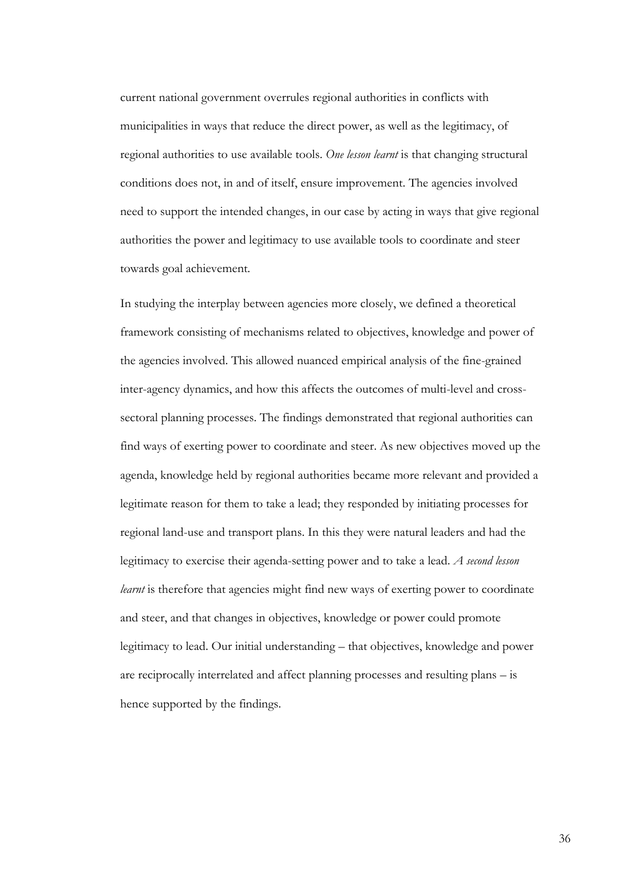current national government overrules regional authorities in conflicts with municipalities in ways that reduce the direct power, as well as the legitimacy, of regional authorities to use available tools. *One lesson learnt* is that changing structural conditions does not, in and of itself, ensure improvement. The agencies involved need to support the intended changes, in our case by acting in ways that give regional authorities the power and legitimacy to use available tools to coordinate and steer towards goal achievement.

In studying the interplay between agencies more closely, we defined a theoretical framework consisting of mechanisms related to objectives, knowledge and power of the agencies involved. This allowed nuanced empirical analysis of the fine-grained inter-agency dynamics, and how this affects the outcomes of multi-level and crosssectoral planning processes. The findings demonstrated that regional authorities can find ways of exerting power to coordinate and steer. As new objectives moved up the agenda, knowledge held by regional authorities became more relevant and provided a legitimate reason for them to take a lead; they responded by initiating processes for regional land-use and transport plans. In this they were natural leaders and had the legitimacy to exercise their agenda-setting power and to take a lead. *A second lesson learnt* is therefore that agencies might find new ways of exerting power to coordinate and steer, and that changes in objectives, knowledge or power could promote legitimacy to lead. Our initial understanding – that objectives, knowledge and power are reciprocally interrelated and affect planning processes and resulting plans – is hence supported by the findings.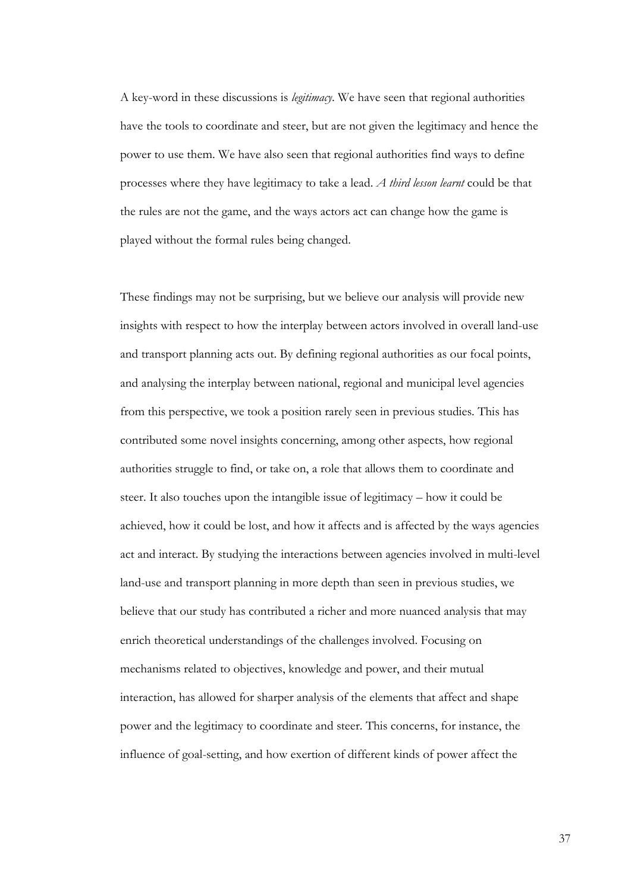A key-word in these discussions is *legitimacy*. We have seen that regional authorities have the tools to coordinate and steer, but are not given the legitimacy and hence the power to use them. We have also seen that regional authorities find ways to define processes where they have legitimacy to take a lead. *A third lesson learnt* could be that the rules are not the game, and the ways actors act can change how the game is played without the formal rules being changed.

These findings may not be surprising, but we believe our analysis will provide new insights with respect to how the interplay between actors involved in overall land-use and transport planning acts out. By defining regional authorities as our focal points, and analysing the interplay between national, regional and municipal level agencies from this perspective, we took a position rarely seen in previous studies. This has contributed some novel insights concerning, among other aspects, how regional authorities struggle to find, or take on, a role that allows them to coordinate and steer. It also touches upon the intangible issue of legitimacy – how it could be achieved, how it could be lost, and how it affects and is affected by the ways agencies act and interact. By studying the interactions between agencies involved in multi-level land-use and transport planning in more depth than seen in previous studies, we believe that our study has contributed a richer and more nuanced analysis that may enrich theoretical understandings of the challenges involved. Focusing on mechanisms related to objectives, knowledge and power, and their mutual interaction, has allowed for sharper analysis of the elements that affect and shape power and the legitimacy to coordinate and steer. This concerns, for instance, the influence of goal-setting, and how exertion of different kinds of power affect the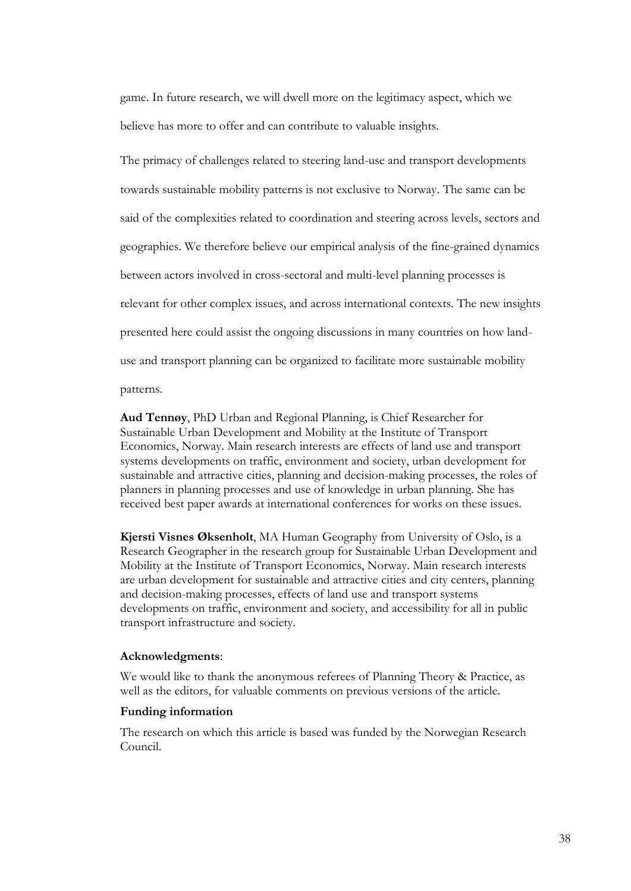game. In future research, we will dwell more on the legitimacy aspect, which we believe has more to offer and can contribute to valuable insights.

The primacy of challenges related to steering land-use and transport developments towards sustainable mobility patterns is not exclusive to Norway. The same can be said of the complexities related to coordination and steering across levels, sectors and geographies. We therefore believe our empirical analysis of the fine-grained dynamics between actors involved in cross-sectoral and multi-level planning processes is relevant for other complex issues, and across international contexts. The new insights presented here could assist the ongoing discussions in many countries on how landuse and transport planning can be organized to facilitate more sustainable mobility patterns.

**Aud Tennøy**, PhD Urban and Regional Planning, is Chief Researcher for Sustainable Urban Development and Mobility at the Institute of Transport Economics, Norway. Main research interests are effects of land use and transport systems developments on traffic, environment and society, urban development for sustainable and attractive cities, planning and decision-making processes, the roles of planners in planning processes and use of knowledge in urban planning. She has

**Kjersti Visnes Øksenholt**, MA Human Geography from University of Oslo, is a Research Geographer in the research group for Sustainable Urban Development and Mobility at the Institute of Transport Economics, Norway. Main research interests are urban development for sustainable and attractive cities and city centers, planning and decision-making processes, effects of land use and transport systems developments on traffic, environment and society, and accessibility for all in public transport infrastructure and society.

received best paper awards at international conferences for works on these issues.

## **Acknowledgments**:

We would like to thank the anonymous referees of Planning Theory & Practice, as well as the editors, for valuable comments on previous versions of the article.

# **Funding information**

The research on which this article is based was funded by the Norwegian Research Council.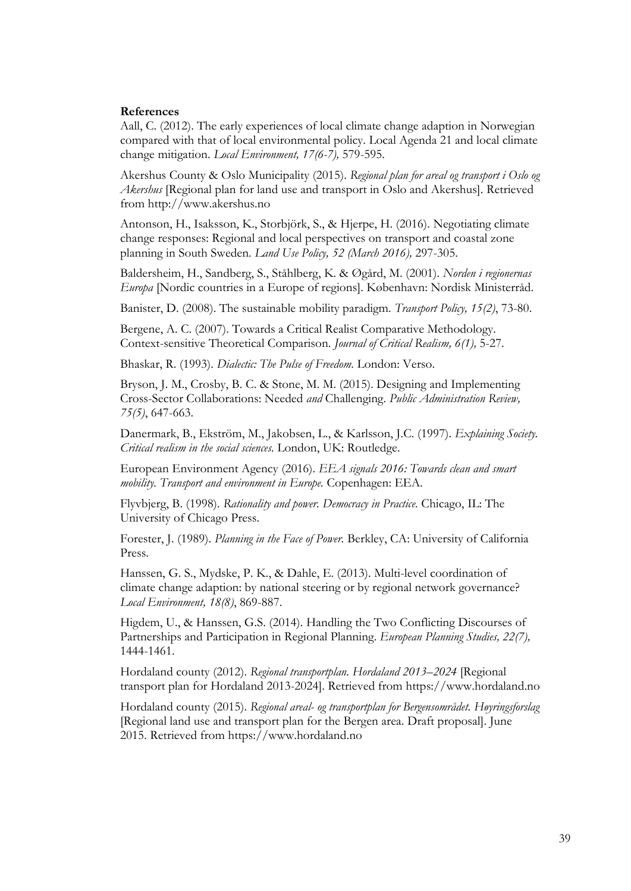### **References**

Aall, C. (2012). The early experiences of local climate change adaption in Norwegian compared with that of local environmental policy. Local Agenda 21 and local climate change mitigation. *Local Environment, 17(6-7),* 579-595.

Akershus County & Oslo Municipality (2015). *Regional plan for areal og transport i Oslo og Akershus* [Regional plan for land use and transport in Oslo and Akershus]. Retrieved from http://www.akershus.no

Antonson, H., Isaksson, K., Storbjörk, S., & Hjerpe, H. (2016). Negotiating climate change responses: Regional and local perspectives on transport and coastal zone planning in South Sweden. *Land Use Policy, 52 (March 2016),* 297-305.

Baldersheim, H., Sandberg, S., Ståhlberg, K. & Øgård, M. (2001). *Norden i regionernas Europa* [Nordic countries in a Europe of regions]. København: Nordisk Ministerråd.

Banister, D. (2008). The sustainable mobility paradigm. *Transport Policy, 15(2)*, 73-80.

Bergene, A. C. (2007). Towards a Critical Realist Comparative Methodology. Context-sensitive Theoretical Comparison. *Journal of Critical Realism, 6(1),* 5-27.

Bhaskar, R. (1993). *Dialectic: The Pulse of Freedom.* London: Verso.

Bryson, J. M., Crosby, B. C. & Stone, M. M. (2015). Designing and Implementing Cross-Sector Collaborations: Needed *and* Challenging. *Public Administration Review, 75(5)*, 647-663.

Danermark, B., Ekström, M., Jakobsen, L., & Karlsson, J.C. (1997). *Explaining Society. Critical realism in the social sciences.* London, UK: Routledge.

European Environment Agency (2016). *EEA signals 2016: Towards clean and smart mobility. Transport and environment in Europe.* Copenhagen: EEA.

Flyvbjerg, B. (1998). *Rationality and power. Democracy in Practice.* Chicago, IL: The University of Chicago Press.

Forester, J. (1989). *Planning in the Face of Power.* Berkley, CA: University of California Press.

Hanssen, G. S., Mydske, P. K., & Dahle, E. (2013). Multi-level coordination of climate change adaption: by national steering or by regional network governance? *Local Environment, 18(8)*, 869-887.

Higdem, U., & Hanssen, G.S. (2014). Handling the Two Conflicting Discourses of Partnerships and Participation in Regional Planning. *European Planning Studies, 22(7),* 1444-1461.

Hordaland county (2012). *Regional transportplan. Hordaland 2013–2024* [Regional transport plan for Hordaland 2013-2024]. Retrieved from https://www.hordaland.no

Hordaland county (2015). *Regional areal- og transportplan for Bergensområdet. Høyringsforslag*  [Regional land use and transport plan for the Bergen area. Draft proposal]. June 2015. Retrieved from https://www.hordaland.no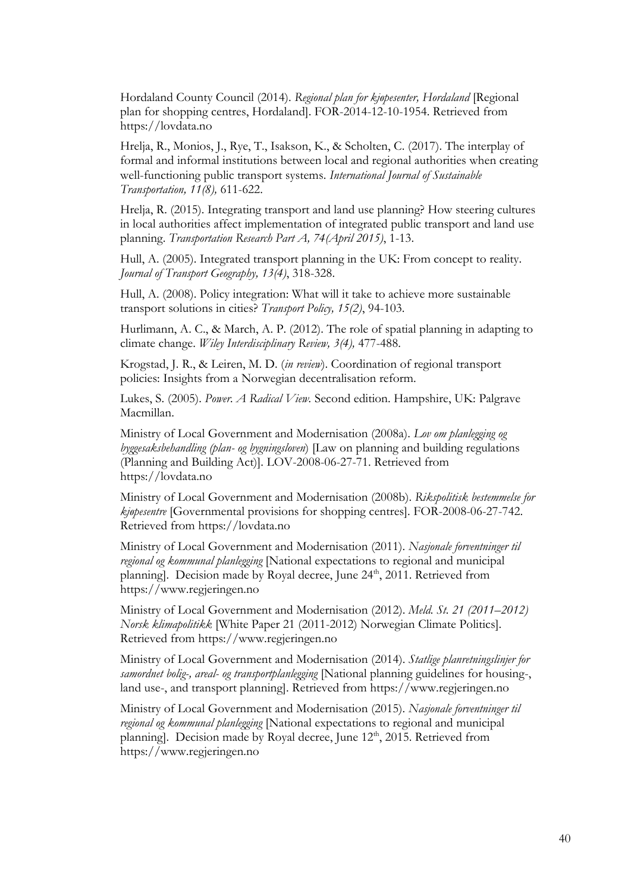Hordaland County Council (2014). *Regional plan for kjøpesenter, Hordaland* [Regional plan for shopping centres, Hordaland]. FOR-2014-12-10-1954. Retrieved from https://lovdata.no

Hrelja, R., Monios, J., Rye, T., Isakson, K., & Scholten, C. (2017). The interplay of formal and informal institutions between local and regional authorities when creating well-functioning public transport systems. *International Journal of Sustainable Transportation, 11(8),* 611-622.

Hrelja, R. (2015). Integrating transport and land use planning? How steering cultures in local authorities affect implementation of integrated public transport and land use planning. *Transportation Research Part A, 74(April 2015)*, 1-13.

Hull, A. (2005). Integrated transport planning in the UK: From concept to reality. *Journal of Transport Geography, 13(4)*, 318-328.

Hull, A. (2008). Policy integration: What will it take to achieve more sustainable transport solutions in cities? *Transport Policy, 15(2)*, 94-103.

Hurlimann, A. C., & March, A. P. (2012). The role of spatial planning in adapting to climate change. *Wiley Interdisciplinary Review, 3(4),* 477-488.

Krogstad, J. R., & Leiren, M. D. (*in review*). Coordination of regional transport policies: Insights from a Norwegian decentralisation reform.

Lukes, S. (2005). *Power. A Radical View.* Second edition. Hampshire, UK: Palgrave Macmillan.

Ministry of Local Government and Modernisation (2008a). *Lov om planlegging og byggesaksbehandling (plan- og bygningsloven*) [Law on planning and building regulations (Planning and Building Act)]. LOV-2008-06-27-71. Retrieved from https://lovdata.no

Ministry of Local Government and Modernisation (2008b). *Rikspolitisk bestemmelse for kjøpesentre* [Governmental provisions for shopping centres]. FOR-2008-06-27-742. Retrieved from https://lovdata.no

Ministry of Local Government and Modernisation (2011). *Nasjonale forventninger til regional og kommunal planlegging* [National expectations to regional and municipal planning]. Decision made by Royal decree, June 24<sup>th</sup>, 2011. Retrieved from https://www.regjeringen.no

Ministry of Local Government and Modernisation (2012). *Meld. St. 21 (2011–2012) Norsk klimapolitikk* [White Paper 21 (2011-2012) Norwegian Climate Politics]. Retrieved from https://www.regjeringen.no

Ministry of Local Government and Modernisation (2014). *Statlige planretningslinjer for samordnet bolig-, areal- og transportplanlegging* [National planning guidelines for housing-, land use-, and transport planning]. Retrieved from https://www.regjeringen.no

Ministry of Local Government and Modernisation (2015). *Nasjonale forventninger til regional og kommunal planlegging* [National expectations to regional and municipal planning]. Decision made by Royal decree, June  $12<sup>th</sup>$ , 2015. Retrieved from https://www.regjeringen.no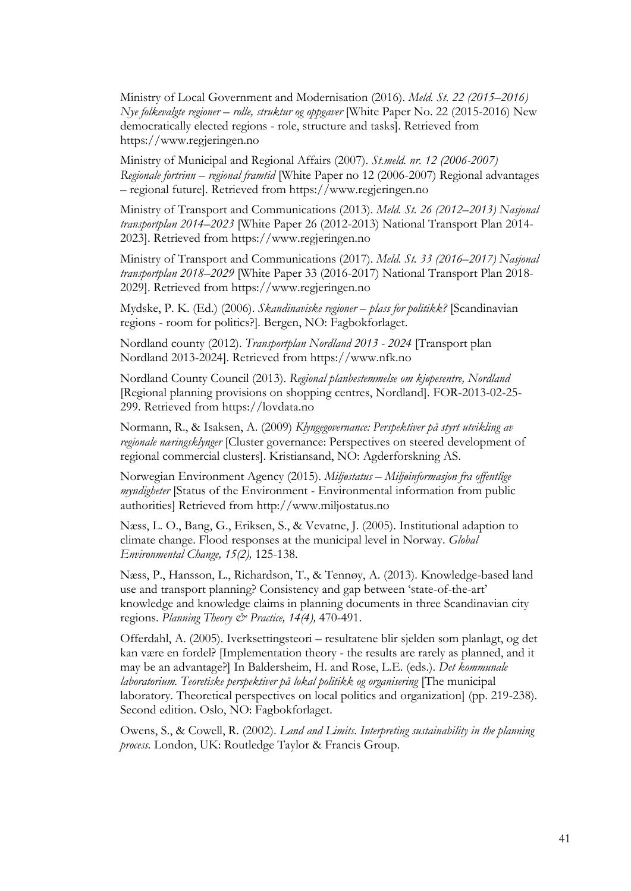Ministry of Local Government and Modernisation (2016). *Meld. St. 22 (2015–2016) Nye folkevalgte regioner – rolle, struktur og oppgaver* [White Paper No. 22 (2015-2016) New democratically elected regions - role, structure and tasks]. Retrieved from https://www.regjeringen.no

Ministry of Municipal and Regional Affairs (2007). *St.meld. nr. 12 (2006-2007) Regionale fortrinn – regional framtid* [White Paper no 12 (2006-2007) Regional advantages – regional future]. Retrieved from https://www.regjeringen.no

Ministry of Transport and Communications (2013). *Meld. St. 26 (2012–2013) Nasjonal transportplan 2014–2023* [White Paper 26 (2012-2013) National Transport Plan 2014- 2023]. Retrieved from https://www.regjeringen.no

Ministry of Transport and Communications (2017). *Meld. St. 33 (2016–2017) Nasjonal transportplan 2018–2029* [White Paper 33 (2016-2017) National Transport Plan 2018- 2029]. Retrieved from https://www.regjeringen.no

Mydske, P. K. (Ed.) (2006). *Skandinaviske regioner – plass for politikk?* [Scandinavian regions - room for politics?]*.* Bergen, NO: Fagbokforlaget.

Nordland county (2012). *Transportplan Nordland 2013 - 2024* [Transport plan Nordland 2013-2024]. Retrieved from https://www.nfk.no

Nordland County Council (2013). *Regional planbestemmelse om kjøpesentre, Nordland* [Regional planning provisions on shopping centres, Nordland]. FOR-2013-02-25- 299. Retrieved from https://lovdata.no

Normann, R., & Isaksen, A. (2009) *Klyngegovernance: Perspektiver på styrt utvikling av regionale næringsklynger* [Cluster governance: Perspectives on steered development of regional commercial clusters]. Kristiansand, NO: Agderforskning AS.

Norwegian Environment Agency (2015). *Miljøstatus – Miljøinformasjon fra offentlige myndigheter* [Status of the Environment - Environmental information from public authorities] Retrieved from http://www.miljostatus.no

Næss, L. O., Bang, G., Eriksen, S., & Vevatne, J. (2005). Institutional adaption to climate change. Flood responses at the municipal level in Norway. *Global Environmental Change, 15(2),* 125-138.

Næss, P., Hansson, L., Richardson, T., & Tennøy, A. (2013). Knowledge-based land use and transport planning? Consistency and gap between 'state-of-the-art' knowledge and knowledge claims in planning documents in three Scandinavian city regions. *Planning Theory & Practice, 14(4),* 470-491.

Offerdahl, A. (2005). Iverksettingsteori – resultatene blir sjelden som planlagt, og det kan være en fordel? [Implementation theory - the results are rarely as planned, and it may be an advantage?] In Baldersheim, H. and Rose, L.E. (eds.). *Det kommunale laboratorium. Teoretiske perspektiver på lokal politikk og organisering* [The municipal laboratory. Theoretical perspectives on local politics and organization] (pp. 219-238). Second edition. Oslo, NO: Fagbokforlaget.

Owens, S., & Cowell, R. (2002). *Land and Limits. Interpreting sustainability in the planning process.* London, UK: Routledge Taylor & Francis Group.